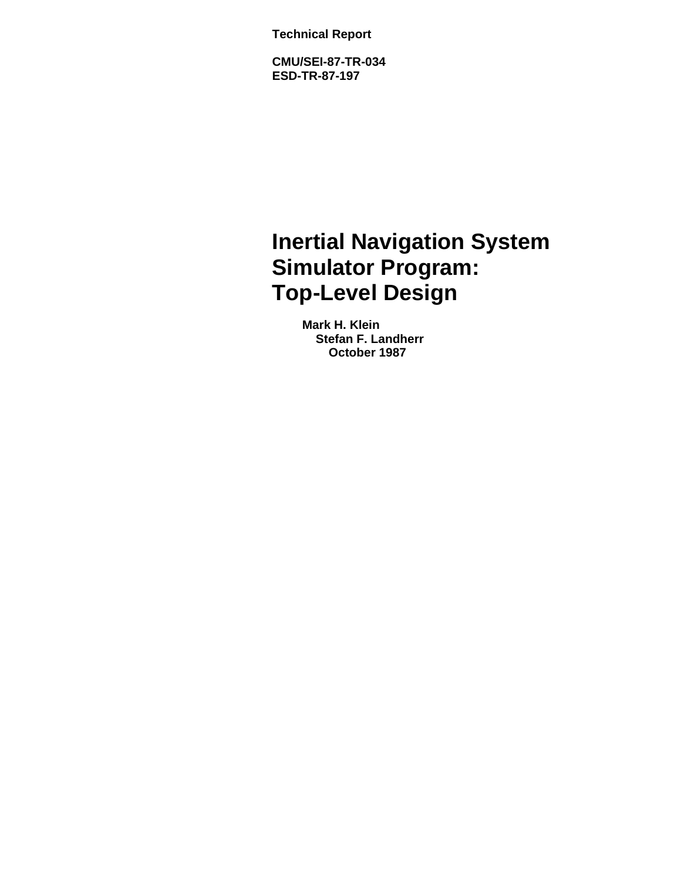**Technical Report**

**CMU/SEI-87-TR-034 ESD-TR-87-197**

# **Inertial Navigation System Simulator Program: Top-Level Design**

**Mark H. Klein Stefan F. Landherr October 1987**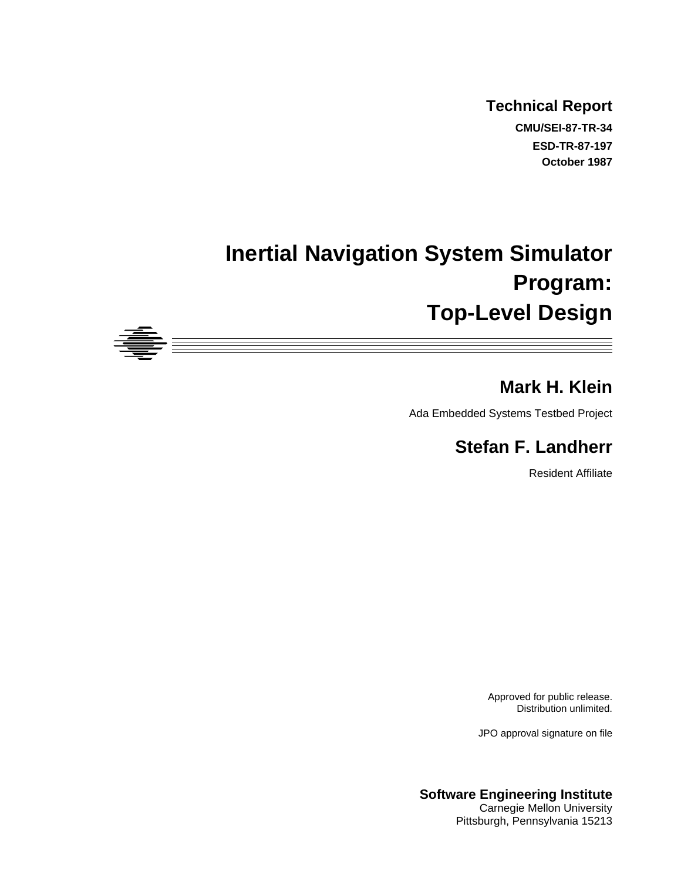**Technical Report CMU/SEI-87-TR-34 ESD-TR-87-197 October 1987**

# **Inertial Navigation System Simulator Program: Top-Level Design**



# **Mark H. Klein**

Ada Embedded Systems Testbed Project

# **Stefan F. Landherr**

Resident Affiliate

Approved for public release. Distribution unlimited.

JPO approval signature on file

**Software Engineering Institute** Carnegie Mellon University Pittsburgh, Pennsylvania 15213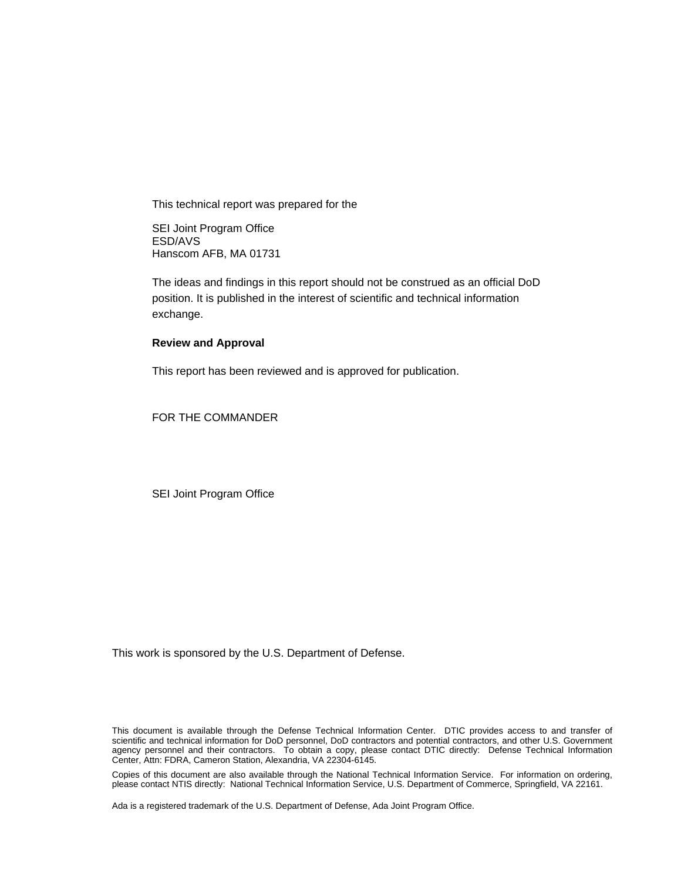This technical report was prepared for the

SEI Joint Program Office ESD/AVS Hanscom AFB, MA 01731

The ideas and findings in this report should not be construed as an official DoD position. It is published in the interest of scientific and technical information exchange.

#### **Review and Approval**

This report has been reviewed and is approved for publication.

FOR THE COMMANDER

SEI Joint Program Office

This work is sponsored by the U.S. Department of Defense.

This document is available through the Defense Technical Information Center. DTIC provides access to and transfer of scientific and technical information for DoD personnel, DoD contractors and potential contractors, and other U.S. Government agency personnel and their contractors. To obtain a copy, please contact DTIC directly: Defense Technical Information Center, Attn: FDRA, Cameron Station, Alexandria, VA 22304-6145.

Copies of this document are also available through the National Technical Information Service. For information on ordering, please contact NTIS directly: National Technical Information Service, U.S. Department of Commerce, Springfield, VA 22161.

Ada is a registered trademark of the U.S. Department of Defense, Ada Joint Program Office.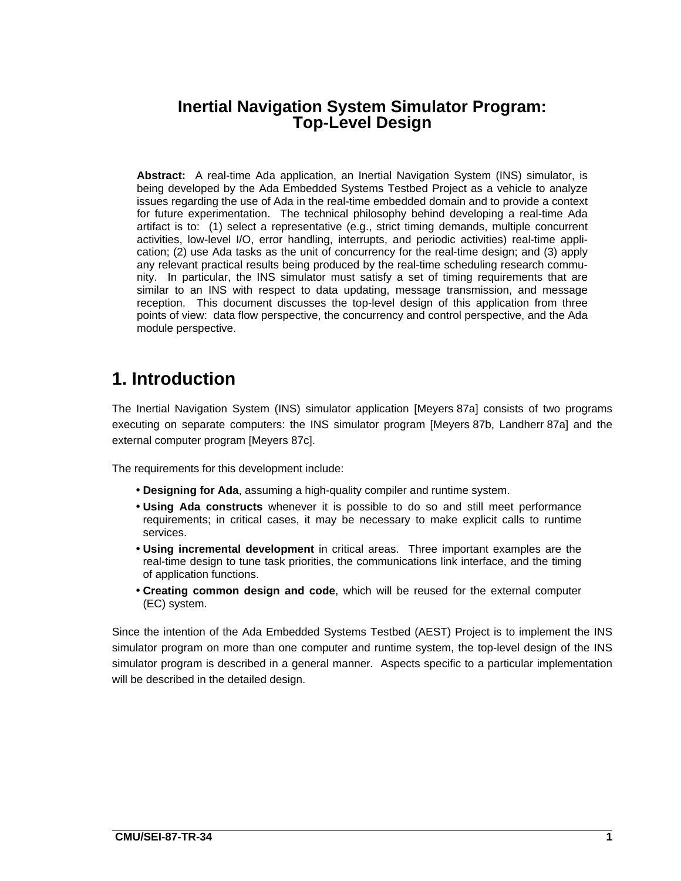# **Inertial Navigation System Simulator Program: Top-Level Design**

**Abstract:** A real-time Ada application, an Inertial Navigation System (INS) simulator, is being developed by the Ada Embedded Systems Testbed Project as a vehicle to analyze issues regarding the use of Ada in the real-time embedded domain and to provide a context for future experimentation. The technical philosophy behind developing a real-time Ada artifact is to: (1) select a representative (e.g., strict timing demands, multiple concurrent activities, low-level I/O, error handling, interrupts, and periodic activities) real-time application; (2) use Ada tasks as the unit of concurrency for the real-time design; and (3) apply any relevant practical results being produced by the real-time scheduling research community. In particular, the INS simulator must satisfy a set of timing requirements that are similar to an INS with respect to data updating, message transmission, and message reception. This document discusses the top-level design of this application from three points of view: data flow perspective, the concurrency and control perspective, and the Ada module perspective.

# **1. Introduction**

The Inertial Navigation System (INS) simulator application [Meyers 87a] consists of two programs executing on separate computers: the INS simulator program [Meyers 87b, Landherr 87a] and the external computer program [Meyers 87c].

The requirements for this development include:

- **Designing for Ada**, assuming a high-quality compiler and runtime system.
- **Using Ada constructs** whenever it is possible to do so and still meet performance requirements; in critical cases, it may be necessary to make explicit calls to runtime services.
- **Using incremental development** in critical areas. Three important examples are the real-time design to tune task priorities, the communications link interface, and the timing of application functions.
- **Creating common design and code**, which will be reused for the external computer (EC) system.

Since the intention of the Ada Embedded Systems Testbed (AEST) Project is to implement the INS simulator program on more than one computer and runtime system, the top-level design of the INS simulator program is described in a general manner. Aspects specific to a particular implementation will be described in the detailed design.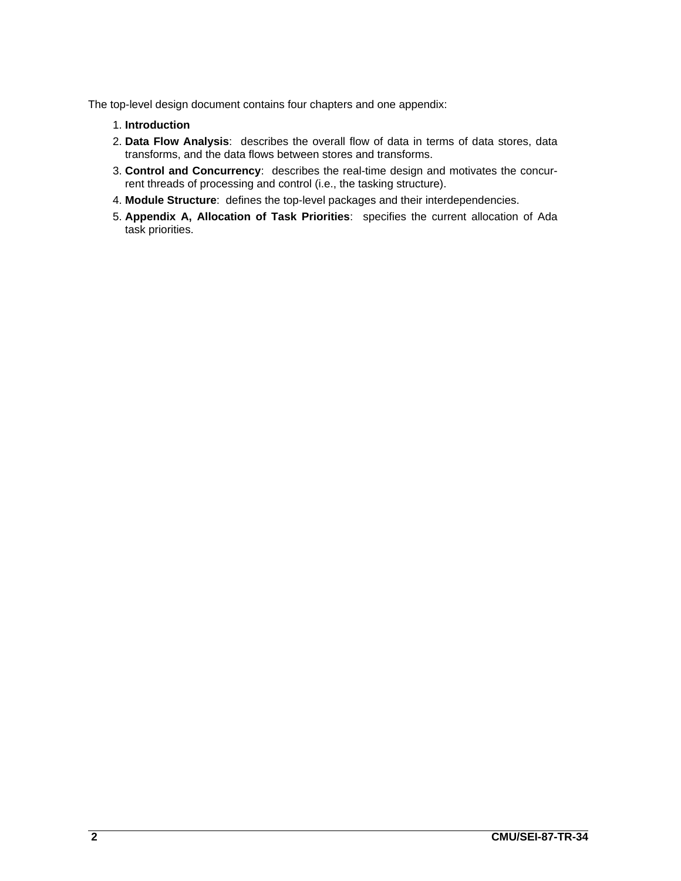The top-level design document contains four chapters and one appendix:

- 1. **Introduction**
- 2. **Data Flow Analysis**: describes the overall flow of data in terms of data stores, data transforms, and the data flows between stores and transforms.
- 3. **Control and Concurrency**: describes the real-time design and motivates the concurrent threads of processing and control (i.e., the tasking structure).
- 4. **Module Structure**: defines the top-level packages and their interdependencies.
- 5. **Appendix A, Allocation of Task Priorities**: specifies the current allocation of Ada task priorities.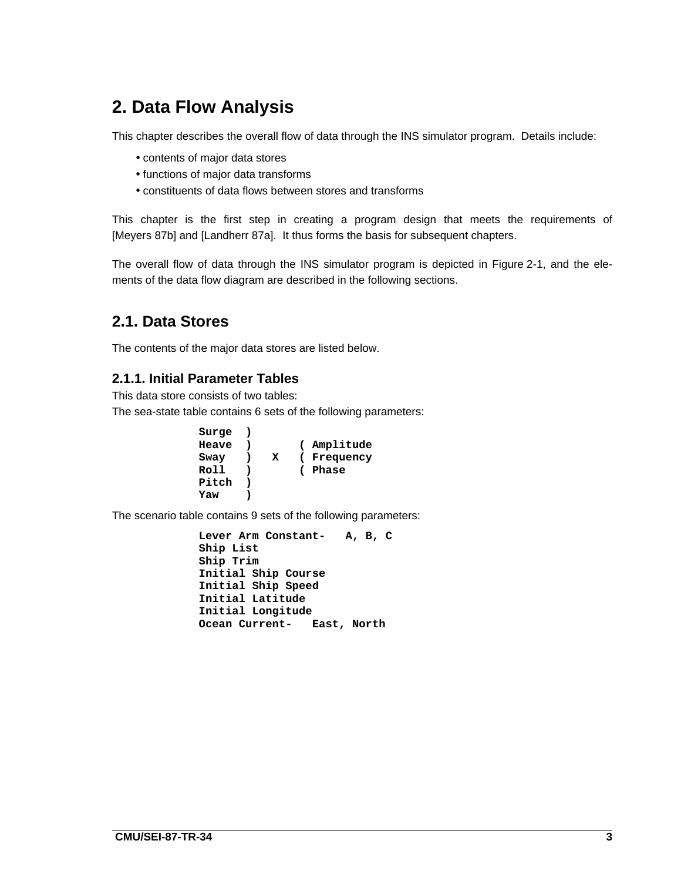# **2. Data Flow Analysis**

This chapter describes the overall flow of data through the INS simulator program. Details include:

- contents of major data stores
- functions of major data transforms
- constituents of data flows between stores and transforms

This chapter is the first step in creating a program design that meets the requirements of [Meyers 87b] and [Landherr 87a]. It thus forms the basis for subsequent chapters.

The overall flow of data through the INS simulator program is depicted in Figure 2-1, and the elements of the data flow diagram are described in the following sections.

# **2.1. Data Stores**

The contents of the major data stores are listed below.

### **2.1.1. Initial Parameter Tables**

This data store consists of two tables:

The sea-state table contains 6 sets of the following parameters:

| Surge |   |             |
|-------|---|-------------|
| Heave |   | ( Amplitude |
| Sway  | x | (Frequency) |
| Roll  |   | (Phase)     |
| Pitch |   |             |
| Yaw   |   |             |
|       |   |             |

The scenario table contains 9 sets of the following parameters:

```
Lever Arm Constant- A, B, C
Ship List
Ship Trim
Initial Ship Course
Initial Ship Speed
Initial Latitude
Initial Longitude
Ocean Current- East, North
```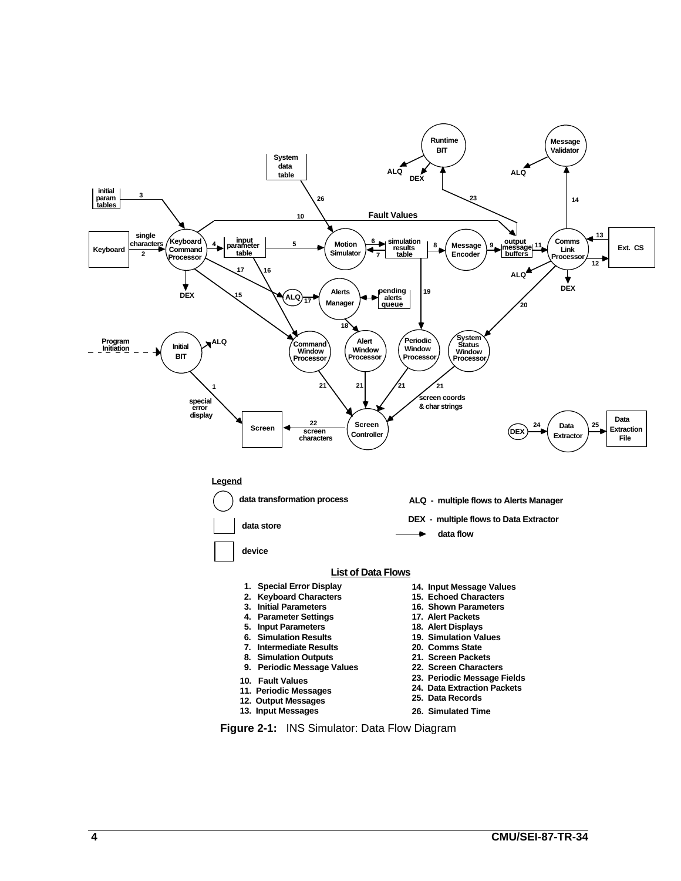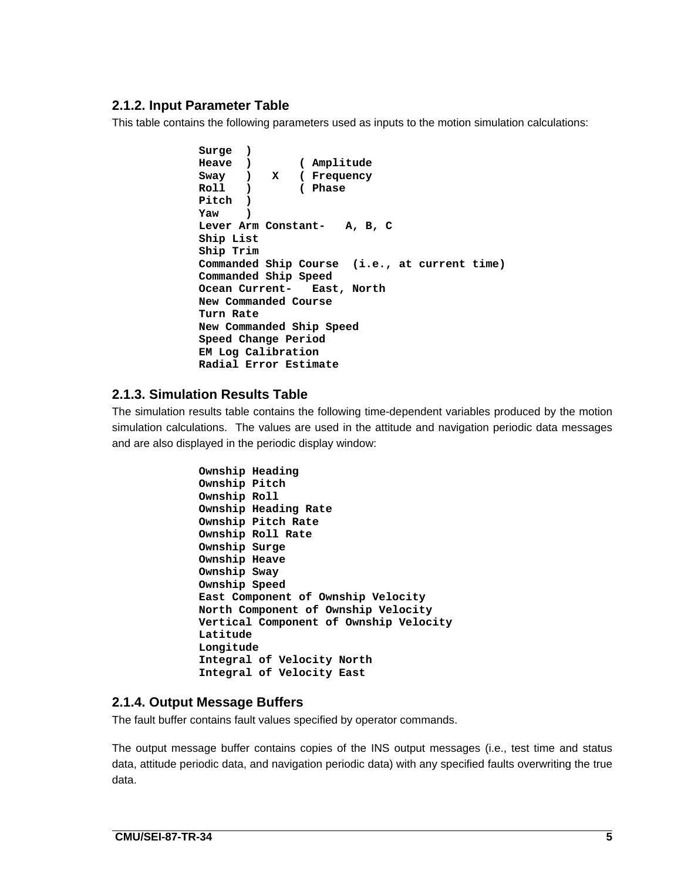### **2.1.2. Input Parameter Table**

This table contains the following parameters used as inputs to the motion simulation calculations:

```
Surge )
Heave ) ( Amplitude
Sway ) X ( Frequency
Roll ) ( Phase
Pitch )
Yaw )
Lever Arm Constant- A, B, C
Ship List
Ship Trim
Commanded Ship Course (i.e., at current time)
Commanded Ship Speed
Ocean Current- East, North
New Commanded Course
Turn Rate
New Commanded Ship Speed
Speed Change Period
EM Log Calibration
Radial Error Estimate
```
### **2.1.3. Simulation Results Table**

The simulation results table contains the following time-dependent variables produced by the motion simulation calculations. The values are used in the attitude and navigation periodic data messages and are also displayed in the periodic display window:

```
Ownship Heading
Ownship Pitch
Ownship Roll
Ownship Heading Rate
Ownship Pitch Rate
Ownship Roll Rate
Ownship Surge
Ownship Heave
Ownship Sway
Ownship Speed
East Component of Ownship Velocity
North Component of Ownship Velocity
Vertical Component of Ownship Velocity
Latitude
Longitude
Integral of Velocity North
Integral of Velocity East
```
### **2.1.4. Output Message Buffers**

The fault buffer contains fault values specified by operator commands.

The output message buffer contains copies of the INS output messages (i.e., test time and status data, attitude periodic data, and navigation periodic data) with any specified faults overwriting the true data.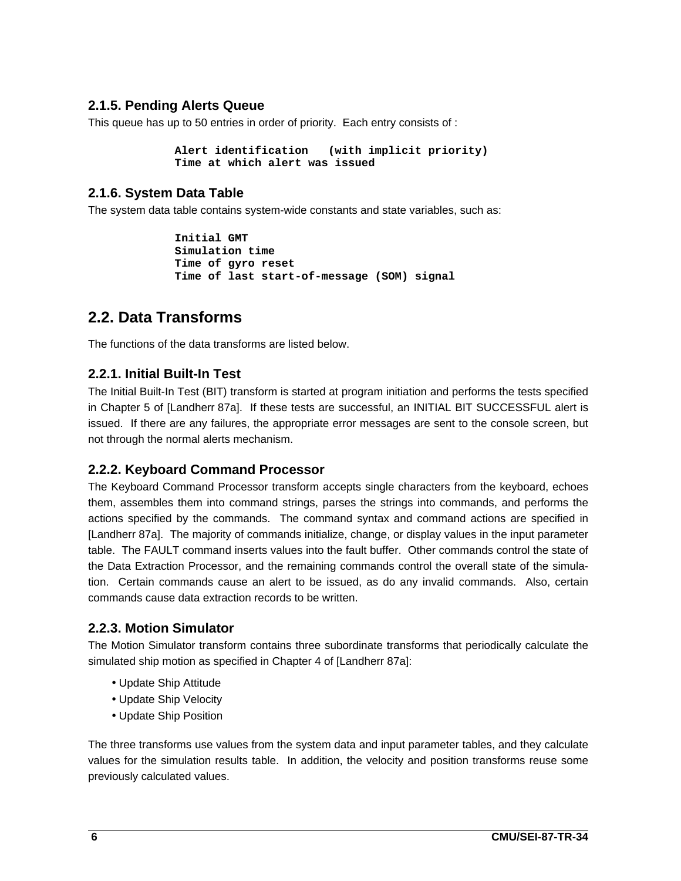#### **2.1.5. Pending Alerts Queue**

This queue has up to 50 entries in order of priority. Each entry consists of :

**Alert identification (with implicit priority) Time at which alert was issued**

#### **2.1.6. System Data Table**

The system data table contains system-wide constants and state variables, such as:

**Initial GMT Simulation time Time of gyro reset Time of last start-of-message (SOM) signal**

# **2.2. Data Transforms**

The functions of the data transforms are listed below.

#### **2.2.1. Initial Built-In Test**

The Initial Built-In Test (BIT) transform is started at program initiation and performs the tests specified in Chapter 5 of [Landherr 87a]. If these tests are successful, an INITIAL BIT SUCCESSFUL alert is issued. If there are any failures, the appropriate error messages are sent to the console screen, but not through the normal alerts mechanism.

#### **2.2.2. Keyboard Command Processor**

The Keyboard Command Processor transform accepts single characters from the keyboard, echoes them, assembles them into command strings, parses the strings into commands, and performs the actions specified by the commands. The command syntax and command actions are specified in [Landherr 87a]. The majority of commands initialize, change, or display values in the input parameter table. The FAULT command inserts values into the fault buffer. Other commands control the state of the Data Extraction Processor, and the remaining commands control the overall state of the simulation. Certain commands cause an alert to be issued, as do any invalid commands. Also, certain commands cause data extraction records to be written.

### **2.2.3. Motion Simulator**

The Motion Simulator transform contains three subordinate transforms that periodically calculate the simulated ship motion as specified in Chapter 4 of [Landherr 87a]:

- Update Ship Attitude
- Update Ship Velocity
- Update Ship Position

The three transforms use values from the system data and input parameter tables, and they calculate values for the simulation results table. In addition, the velocity and position transforms reuse some previously calculated values.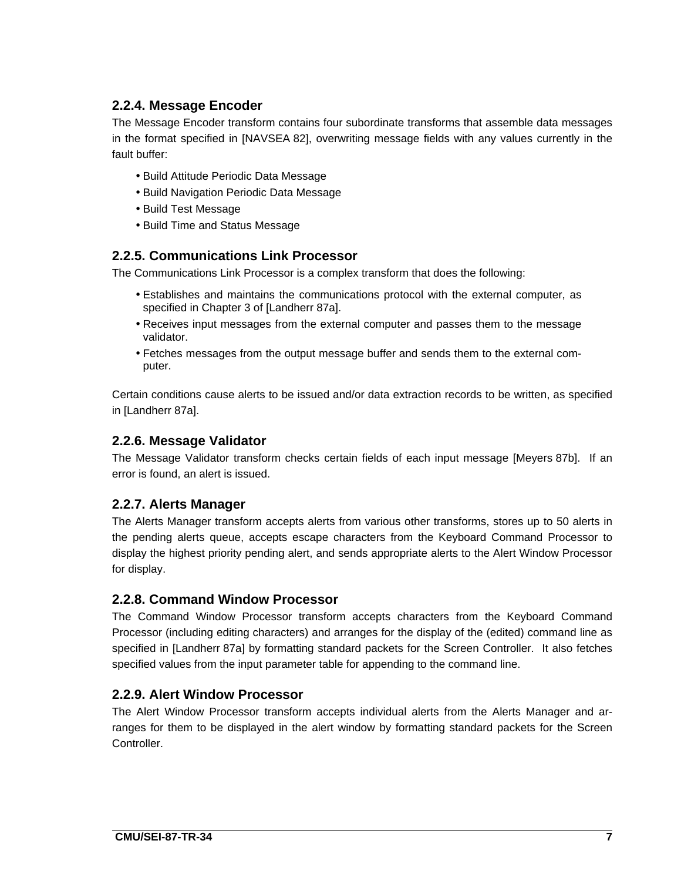## **2.2.4. Message Encoder**

The Message Encoder transform contains four subordinate transforms that assemble data messages in the format specified in [NAVSEA 82], overwriting message fields with any values currently in the fault buffer:

- Build Attitude Periodic Data Message
- Build Navigation Periodic Data Message
- Build Test Message
- Build Time and Status Message

#### **2.2.5. Communications Link Processor**

The Communications Link Processor is a complex transform that does the following:

- Establishes and maintains the communications protocol with the external computer, as specified in Chapter 3 of [Landherr 87a].
- Receives input messages from the external computer and passes them to the message validator.
- Fetches messages from the output message buffer and sends them to the external computer.

Certain conditions cause alerts to be issued and/or data extraction records to be written, as specified in [Landherr 87a].

#### **2.2.6. Message Validator**

The Message Validator transform checks certain fields of each input message [Meyers 87b]. If an error is found, an alert is issued.

### **2.2.7. Alerts Manager**

The Alerts Manager transform accepts alerts from various other transforms, stores up to 50 alerts in the pending alerts queue, accepts escape characters from the Keyboard Command Processor to display the highest priority pending alert, and sends appropriate alerts to the Alert Window Processor for display.

#### **2.2.8. Command Window Processor**

The Command Window Processor transform accepts characters from the Keyboard Command Processor (including editing characters) and arranges for the display of the (edited) command line as specified in [Landherr 87a] by formatting standard packets for the Screen Controller. It also fetches specified values from the input parameter table for appending to the command line.

### **2.2.9. Alert Window Processor**

The Alert Window Processor transform accepts individual alerts from the Alerts Manager and arranges for them to be displayed in the alert window by formatting standard packets for the Screen Controller.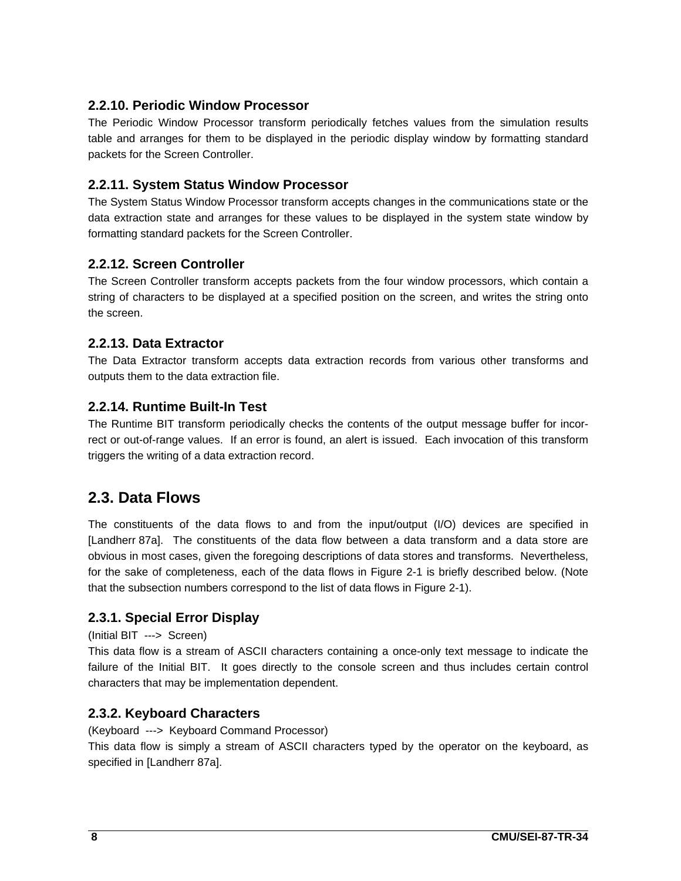## **2.2.10. Periodic Window Processor**

The Periodic Window Processor transform periodically fetches values from the simulation results table and arranges for them to be displayed in the periodic display window by formatting standard packets for the Screen Controller.

### **2.2.11. System Status Window Processor**

The System Status Window Processor transform accepts changes in the communications state or the data extraction state and arranges for these values to be displayed in the system state window by formatting standard packets for the Screen Controller.

#### **2.2.12. Screen Controller**

The Screen Controller transform accepts packets from the four window processors, which contain a string of characters to be displayed at a specified position on the screen, and writes the string onto the screen.

#### **2.2.13. Data Extractor**

The Data Extractor transform accepts data extraction records from various other transforms and outputs them to the data extraction file.

#### **2.2.14. Runtime Built-In Test**

The Runtime BIT transform periodically checks the contents of the output message buffer for incorrect or out-of-range values. If an error is found, an alert is issued. Each invocation of this transform triggers the writing of a data extraction record.

# **2.3. Data Flows**

The constituents of the data flows to and from the input/output (I/O) devices are specified in [Landherr 87a]. The constituents of the data flow between a data transform and a data store are obvious in most cases, given the foregoing descriptions of data stores and transforms. Nevertheless, for the sake of completeness, each of the data flows in Figure 2-1 is briefly described below. (Note that the subsection numbers correspond to the list of data flows in Figure 2-1).

### **2.3.1. Special Error Display**

#### (Initial BIT ---> Screen)

This data flow is a stream of ASCII characters containing a once-only text message to indicate the failure of the Initial BIT. It goes directly to the console screen and thus includes certain control characters that may be implementation dependent.

#### **2.3.2. Keyboard Characters**

#### (Keyboard ---> Keyboard Command Processor)

This data flow is simply a stream of ASCII characters typed by the operator on the keyboard, as specified in [Landherr 87a].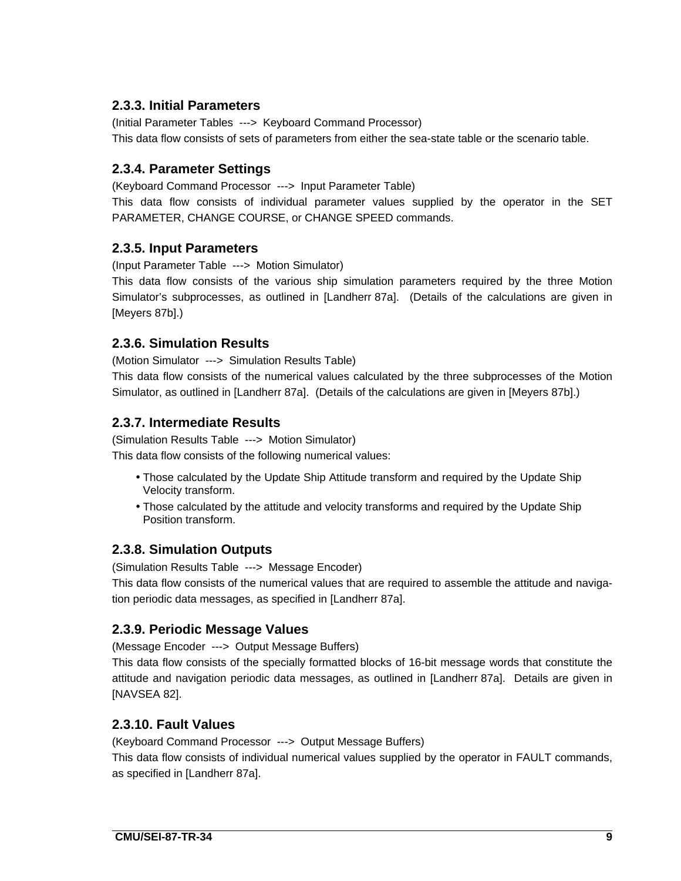### **2.3.3. Initial Parameters**

(Initial Parameter Tables ---> Keyboard Command Processor) This data flow consists of sets of parameters from either the sea-state table or the scenario table.

## **2.3.4. Parameter Settings**

(Keyboard Command Processor ---> Input Parameter Table)

This data flow consists of individual parameter values supplied by the operator in the SET PARAMETER, CHANGE COURSE, or CHANGE SPEED commands.

### **2.3.5. Input Parameters**

(Input Parameter Table ---> Motion Simulator)

This data flow consists of the various ship simulation parameters required by the three Motion Simulator's subprocesses, as outlined in [Landherr 87a]. (Details of the calculations are given in [Meyers 87b].)

### **2.3.6. Simulation Results**

(Motion Simulator ---> Simulation Results Table)

This data flow consists of the numerical values calculated by the three subprocesses of the Motion Simulator, as outlined in [Landherr 87a]. (Details of the calculations are given in [Meyers 87b].)

### **2.3.7. Intermediate Results**

(Simulation Results Table ---> Motion Simulator)

This data flow consists of the following numerical values:

- Those calculated by the Update Ship Attitude transform and required by the Update Ship Velocity transform.
- Those calculated by the attitude and velocity transforms and required by the Update Ship Position transform.

### **2.3.8. Simulation Outputs**

(Simulation Results Table ---> Message Encoder)

This data flow consists of the numerical values that are required to assemble the attitude and navigation periodic data messages, as specified in [Landherr 87a].

### **2.3.9. Periodic Message Values**

(Message Encoder ---> Output Message Buffers)

This data flow consists of the specially formatted blocks of 16-bit message words that constitute the attitude and navigation periodic data messages, as outlined in [Landherr 87a]. Details are given in [NAVSEA 82].

### **2.3.10. Fault Values**

(Keyboard Command Processor ---> Output Message Buffers)

This data flow consists of individual numerical values supplied by the operator in FAULT commands, as specified in [Landherr 87a].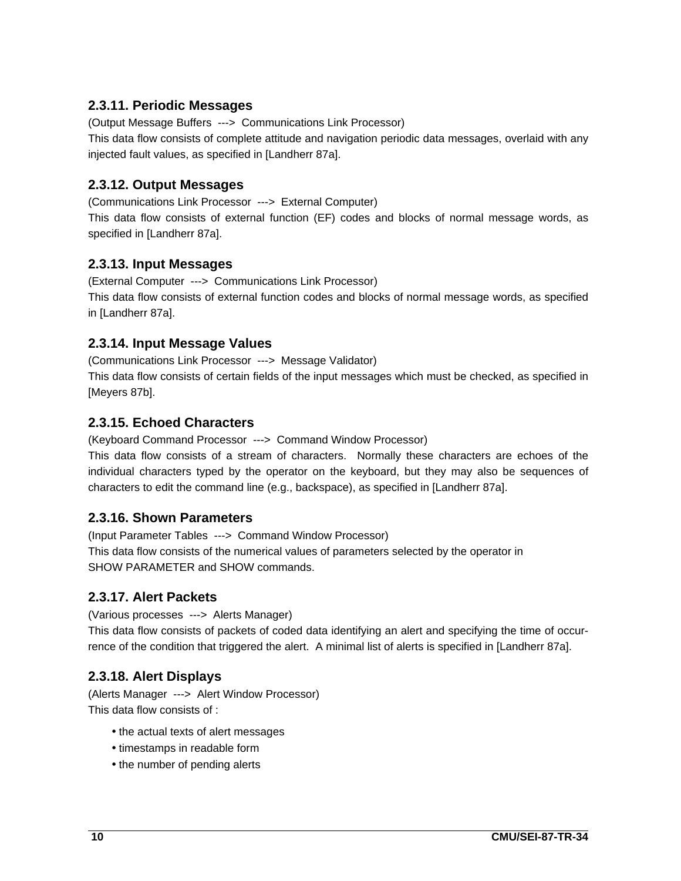## **2.3.11. Periodic Messages**

(Output Message Buffers ---> Communications Link Processor) This data flow consists of complete attitude and navigation periodic data messages, overlaid with any injected fault values, as specified in [Landherr 87a].

## **2.3.12. Output Messages**

(Communications Link Processor ---> External Computer)

This data flow consists of external function (EF) codes and blocks of normal message words, as specified in [Landherr 87a].

## **2.3.13. Input Messages**

(External Computer ---> Communications Link Processor) This data flow consists of external function codes and blocks of normal message words, as specified in [Landherr 87a].

## **2.3.14. Input Message Values**

(Communications Link Processor ---> Message Validator) This data flow consists of certain fields of the input messages which must be checked, as specified in [Meyers 87b].

### **2.3.15. Echoed Characters**

(Keyboard Command Processor ---> Command Window Processor)

This data flow consists of a stream of characters. Normally these characters are echoes of the individual characters typed by the operator on the keyboard, but they may also be sequences of characters to edit the command line (e.g., backspace), as specified in [Landherr 87a].

### **2.3.16. Shown Parameters**

(Input Parameter Tables ---> Command Window Processor) This data flow consists of the numerical values of parameters selected by the operator in SHOW PARAMETER and SHOW commands.

### **2.3.17. Alert Packets**

(Various processes ---> Alerts Manager)

This data flow consists of packets of coded data identifying an alert and specifying the time of occurrence of the condition that triggered the alert. A minimal list of alerts is specified in [Landherr 87a].

### **2.3.18. Alert Displays**

(Alerts Manager ---> Alert Window Processor) This data flow consists of :

- the actual texts of alert messages
- timestamps in readable form
- the number of pending alerts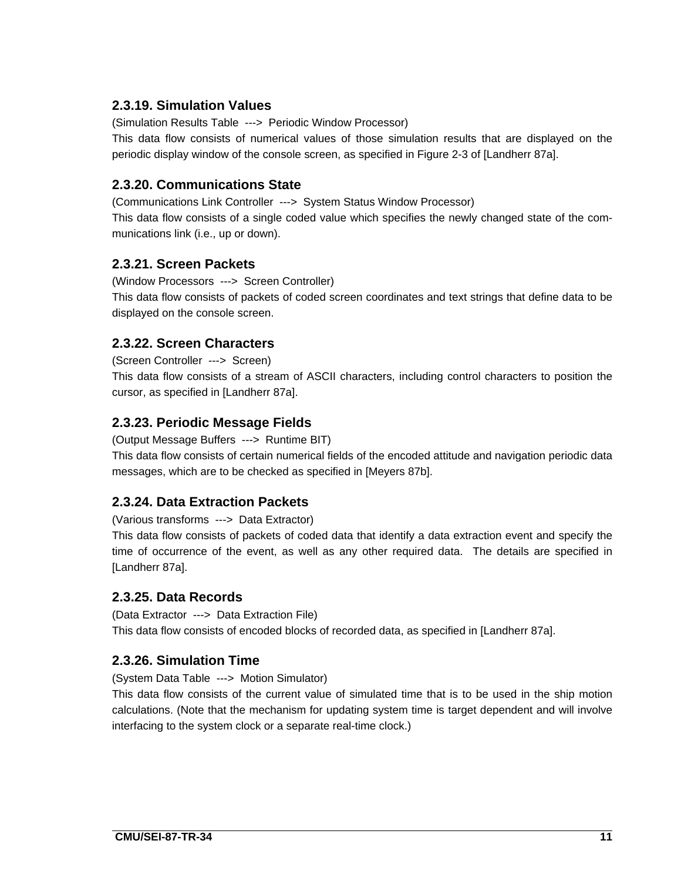## **2.3.19. Simulation Values**

(Simulation Results Table ---> Periodic Window Processor)

This data flow consists of numerical values of those simulation results that are displayed on the periodic display window of the console screen, as specified in Figure 2-3 of [Landherr 87a].

### **2.3.20. Communications State**

(Communications Link Controller ---> System Status Window Processor) This data flow consists of a single coded value which specifies the newly changed state of the communications link (i.e., up or down).

## **2.3.21. Screen Packets**

(Window Processors ---> Screen Controller) This data flow consists of packets of coded screen coordinates and text strings that define data to be displayed on the console screen.

## **2.3.22. Screen Characters**

(Screen Controller ---> Screen) This data flow consists of a stream of ASCII characters, including control characters to position the

cursor, as specified in [Landherr 87a].

## **2.3.23. Periodic Message Fields**

(Output Message Buffers ---> Runtime BIT)

This data flow consists of certain numerical fields of the encoded attitude and navigation periodic data messages, which are to be checked as specified in [Meyers 87b].

# **2.3.24. Data Extraction Packets**

(Various transforms ---> Data Extractor)

This data flow consists of packets of coded data that identify a data extraction event and specify the time of occurrence of the event, as well as any other required data. The details are specified in [Landherr 87a].

### **2.3.25. Data Records**

(Data Extractor ---> Data Extraction File) This data flow consists of encoded blocks of recorded data, as specified in [Landherr 87a].

### **2.3.26. Simulation Time**

(System Data Table ---> Motion Simulator)

This data flow consists of the current value of simulated time that is to be used in the ship motion calculations. (Note that the mechanism for updating system time is target dependent and will involve interfacing to the system clock or a separate real-time clock.)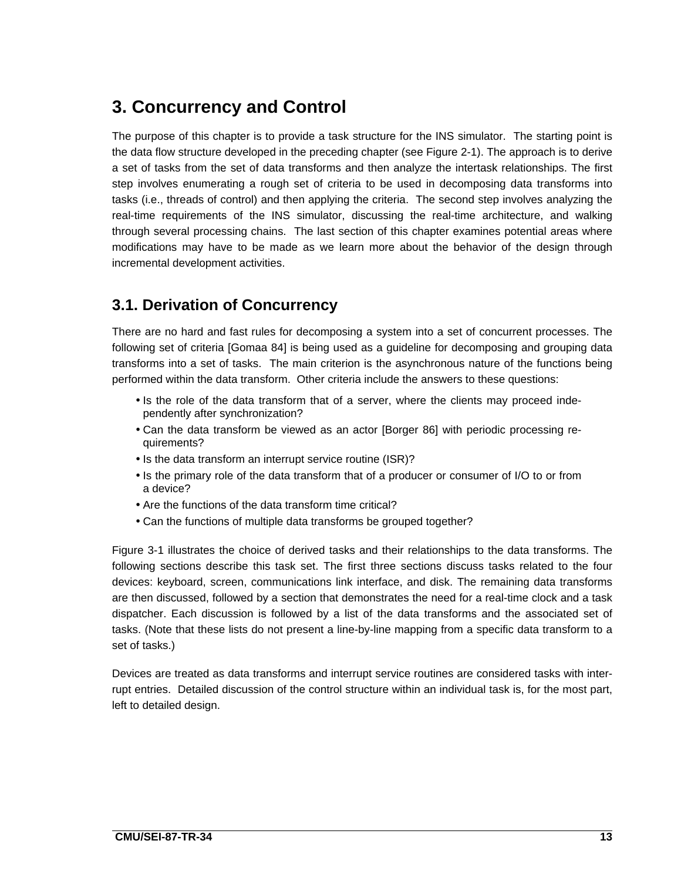# **3. Concurrency and Control**

The purpose of this chapter is to provide a task structure for the INS simulator. The starting point is the data flow structure developed in the preceding chapter (see Figure 2-1). The approach is to derive a set of tasks from the set of data transforms and then analyze the intertask relationships. The first step involves enumerating a rough set of criteria to be used in decomposing data transforms into tasks (i.e., threads of control) and then applying the criteria. The second step involves analyzing the real-time requirements of the INS simulator, discussing the real-time architecture, and walking through several processing chains. The last section of this chapter examines potential areas where modifications may have to be made as we learn more about the behavior of the design through incremental development activities.

# **3.1. Derivation of Concurrency**

There are no hard and fast rules for decomposing a system into a set of concurrent processes. The following set of criteria [Gomaa 84] is being used as a guideline for decomposing and grouping data transforms into a set of tasks. The main criterion is the asynchronous nature of the functions being performed within the data transform. Other criteria include the answers to these questions:

- Is the role of the data transform that of a server, where the clients may proceed independently after synchronization?
- Can the data transform be viewed as an actor [Borger 86] with periodic processing requirements?
- Is the data transform an interrupt service routine (ISR)?
- Is the primary role of the data transform that of a producer or consumer of I/O to or from a device?
- Are the functions of the data transform time critical?
- Can the functions of multiple data transforms be grouped together?

Figure 3-1 illustrates the choice of derived tasks and their relationships to the data transforms. The following sections describe this task set. The first three sections discuss tasks related to the four devices: keyboard, screen, communications link interface, and disk. The remaining data transforms are then discussed, followed by a section that demonstrates the need for a real-time clock and a task dispatcher. Each discussion is followed by a list of the data transforms and the associated set of tasks. (Note that these lists do not present a line-by-line mapping from a specific data transform to a set of tasks.)

Devices are treated as data transforms and interrupt service routines are considered tasks with interrupt entries. Detailed discussion of the control structure within an individual task is, for the most part, left to detailed design.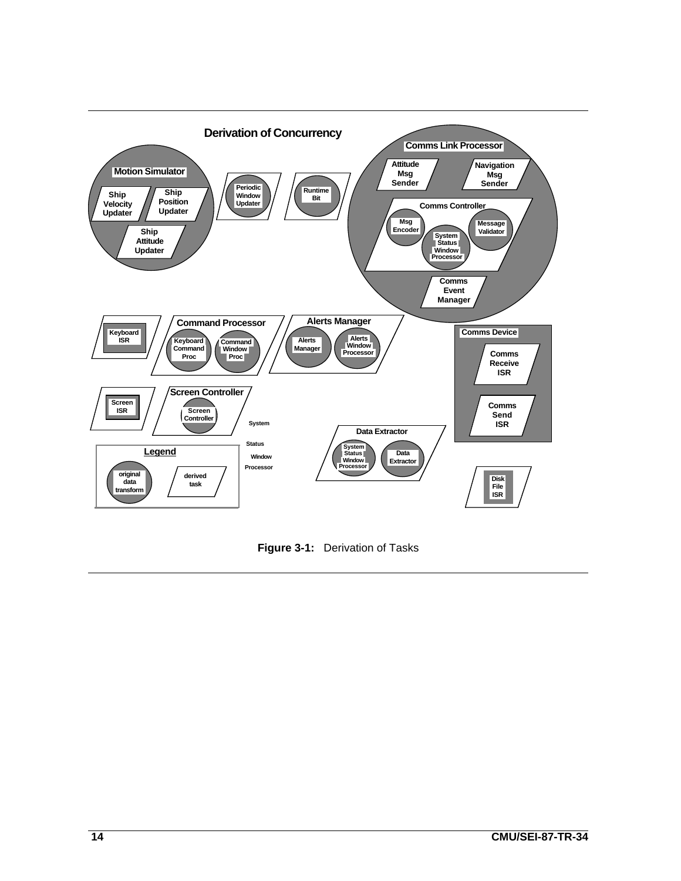

**Figure 3-1:** Derivation of Tasks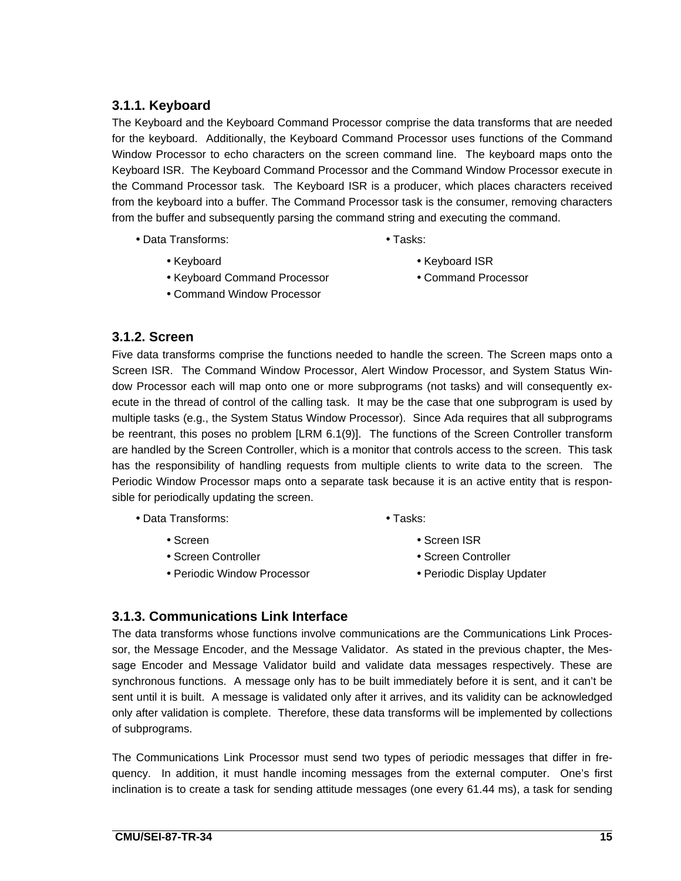## **3.1.1. Keyboard**

The Keyboard and the Keyboard Command Processor comprise the data transforms that are needed for the keyboard. Additionally, the Keyboard Command Processor uses functions of the Command Window Processor to echo characters on the screen command line. The keyboard maps onto the Keyboard ISR. The Keyboard Command Processor and the Command Window Processor execute in the Command Processor task. The Keyboard ISR is a producer, which places characters received from the keyboard into a buffer. The Command Processor task is the consumer, removing characters from the buffer and subsequently parsing the command string and executing the command.

- Data Transforms: Tasks:
- 

- 
- Keyboard Command Processor Command Processor
- Command Window Processor
- Keyboard Keyboard ISR
	-

#### **3.1.2. Screen**

Five data transforms comprise the functions needed to handle the screen. The Screen maps onto a Screen ISR. The Command Window Processor, Alert Window Processor, and System Status Window Processor each will map onto one or more subprograms (not tasks) and will consequently execute in the thread of control of the calling task. It may be the case that one subprogram is used by multiple tasks (e.g., the System Status Window Processor). Since Ada requires that all subprograms be reentrant, this poses no problem [LRM 6.1(9)]. The functions of the Screen Controller transform are handled by the Screen Controller, which is a monitor that controls access to the screen. This task has the responsibility of handling requests from multiple clients to write data to the screen. The Periodic Window Processor maps onto a separate task because it is an active entity that is responsible for periodically updating the screen.

- Data Transforms: Tasks:
	-
- 
- 
- Periodic Window Processor • Periodic Display Updater
- 
- Screen Screen ISR
- Screen Controller Screen Controller
	-

#### **3.1.3. Communications Link Interface**

The data transforms whose functions involve communications are the Communications Link Processor, the Message Encoder, and the Message Validator. As stated in the previous chapter, the Message Encoder and Message Validator build and validate data messages respectively. These are synchronous functions. A message only has to be built immediately before it is sent, and it can't be sent until it is built. A message is validated only after it arrives, and its validity can be acknowledged only after validation is complete. Therefore, these data transforms will be implemented by collections of subprograms.

The Communications Link Processor must send two types of periodic messages that differ in frequency. In addition, it must handle incoming messages from the external computer. One's first inclination is to create a task for sending attitude messages (one every 61.44 ms), a task for sending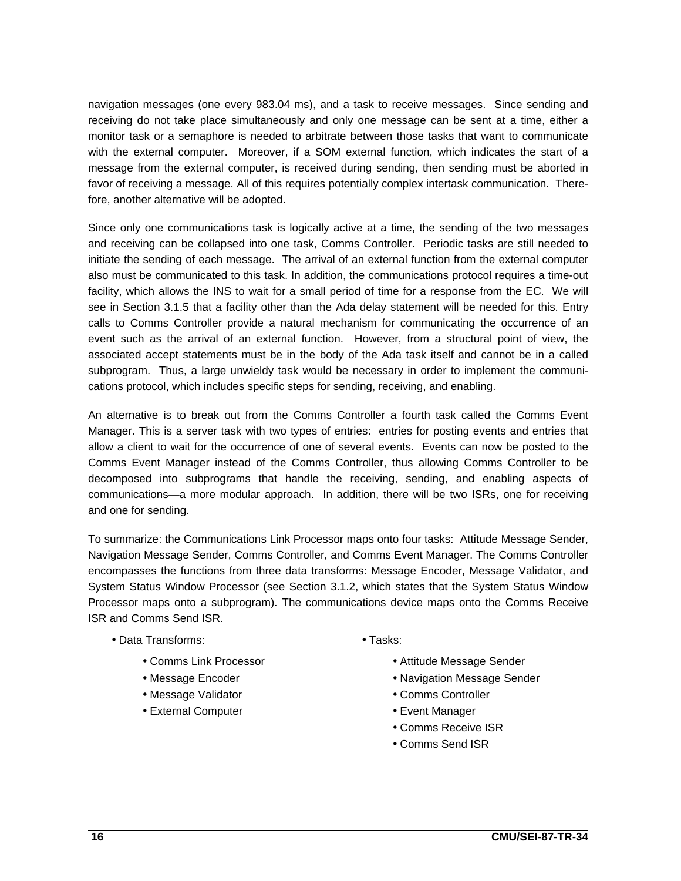navigation messages (one every 983.04 ms), and a task to receive messages. Since sending and receiving do not take place simultaneously and only one message can be sent at a time, either a monitor task or a semaphore is needed to arbitrate between those tasks that want to communicate with the external computer. Moreover, if a SOM external function, which indicates the start of a message from the external computer, is received during sending, then sending must be aborted in favor of receiving a message. All of this requires potentially complex intertask communication. Therefore, another alternative will be adopted.

Since only one communications task is logically active at a time, the sending of the two messages and receiving can be collapsed into one task, Comms Controller. Periodic tasks are still needed to initiate the sending of each message. The arrival of an external function from the external computer also must be communicated to this task. In addition, the communications protocol requires a time-out facility, which allows the INS to wait for a small period of time for a response from the EC. We will see in Section 3.1.5 that a facility other than the Ada delay statement will be needed for this. Entry calls to Comms Controller provide a natural mechanism for communicating the occurrence of an event such as the arrival of an external function. However, from a structural point of view, the associated accept statements must be in the body of the Ada task itself and cannot be in a called subprogram. Thus, a large unwieldy task would be necessary in order to implement the communications protocol, which includes specific steps for sending, receiving, and enabling.

An alternative is to break out from the Comms Controller a fourth task called the Comms Event Manager. This is a server task with two types of entries: entries for posting events and entries that allow a client to wait for the occurrence of one of several events. Events can now be posted to the Comms Event Manager instead of the Comms Controller, thus allowing Comms Controller to be decomposed into subprograms that handle the receiving, sending, and enabling aspects of communications—a more modular approach. In addition, there will be two ISRs, one for receiving and one for sending.

To summarize: the Communications Link Processor maps onto four tasks: Attitude Message Sender, Navigation Message Sender, Comms Controller, and Comms Event Manager. The Comms Controller encompasses the functions from three data transforms: Message Encoder, Message Validator, and System Status Window Processor (see Section 3.1.2, which states that the System Status Window Processor maps onto a subprogram). The communications device maps onto the Comms Receive ISR and Comms Send ISR.

- Data Transforms: Tasks:
	-
	-
	- Message Validator Comms Controller
	- External Computer Event Manager
- - Comms Link Processor  **Attitude Message Sender**
	- Message Encoder Navigation Message Sender
		-
		-
		- Comms Receive ISR
		- Comms Send ISR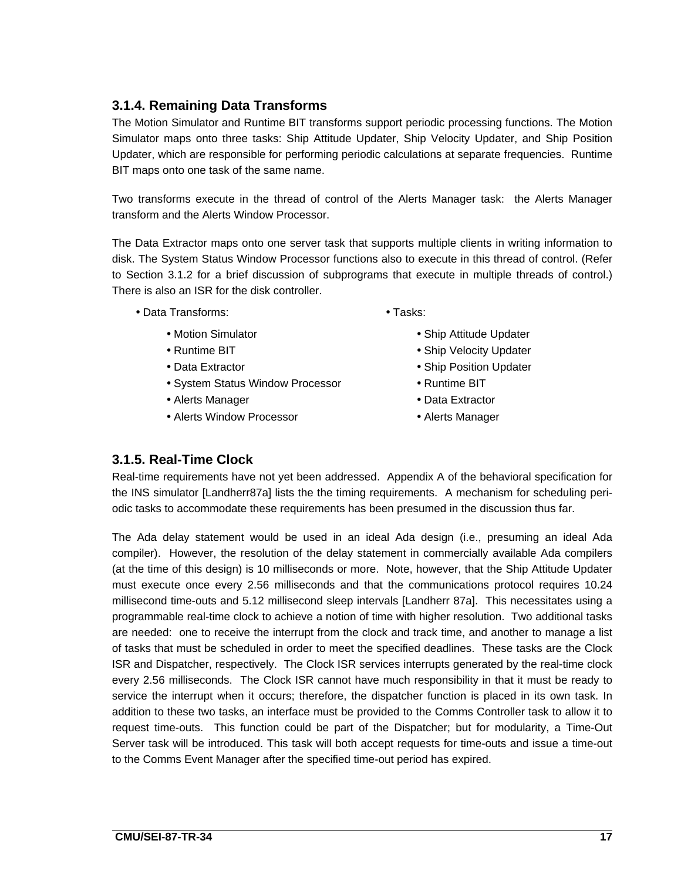# **3.1.4. Remaining Data Transforms**

The Motion Simulator and Runtime BIT transforms support periodic processing functions. The Motion Simulator maps onto three tasks: Ship Attitude Updater, Ship Velocity Updater, and Ship Position Updater, which are responsible for performing periodic calculations at separate frequencies. Runtime BIT maps onto one task of the same name.

Two transforms execute in the thread of control of the Alerts Manager task: the Alerts Manager transform and the Alerts Window Processor.

The Data Extractor maps onto one server task that supports multiple clients in writing information to disk. The System Status Window Processor functions also to execute in this thread of control. (Refer to Section 3.1.2 for a brief discussion of subprograms that execute in multiple threads of control.) There is also an ISR for the disk controller.

- Data Transforms: Tasks:
	-
	-
	-
	- System Status Window Processor Runtime BIT
	- Alerts Manager **Data Extractor**
	- Alerts Window Processor • Alerts Manager
- 
- Motion Simulator Ship Attitude Updater
- Runtime BIT Ship Velocity Updater
- Data Extractor Ship Position Updater
	-
	-
	-

### **3.1.5. Real-Time Clock**

Real-time requirements have not yet been addressed. Appendix A of the behavioral specification for the INS simulator [Landherr87a] lists the the timing requirements. A mechanism for scheduling periodic tasks to accommodate these requirements has been presumed in the discussion thus far.

The Ada delay statement would be used in an ideal Ada design (i.e., presuming an ideal Ada compiler). However, the resolution of the delay statement in commercially available Ada compilers (at the time of this design) is 10 milliseconds or more. Note, however, that the Ship Attitude Updater must execute once every 2.56 milliseconds and that the communications protocol requires 10.24 millisecond time-outs and 5.12 millisecond sleep intervals [Landherr 87a]. This necessitates using a programmable real-time clock to achieve a notion of time with higher resolution. Two additional tasks are needed: one to receive the interrupt from the clock and track time, and another to manage a list of tasks that must be scheduled in order to meet the specified deadlines. These tasks are the Clock ISR and Dispatcher, respectively. The Clock ISR services interrupts generated by the real-time clock every 2.56 milliseconds. The Clock ISR cannot have much responsibility in that it must be ready to service the interrupt when it occurs; therefore, the dispatcher function is placed in its own task. In addition to these two tasks, an interface must be provided to the Comms Controller task to allow it to request time-outs. This function could be part of the Dispatcher; but for modularity, a Time-Out Server task will be introduced. This task will both accept requests for time-outs and issue a time-out to the Comms Event Manager after the specified time-out period has expired.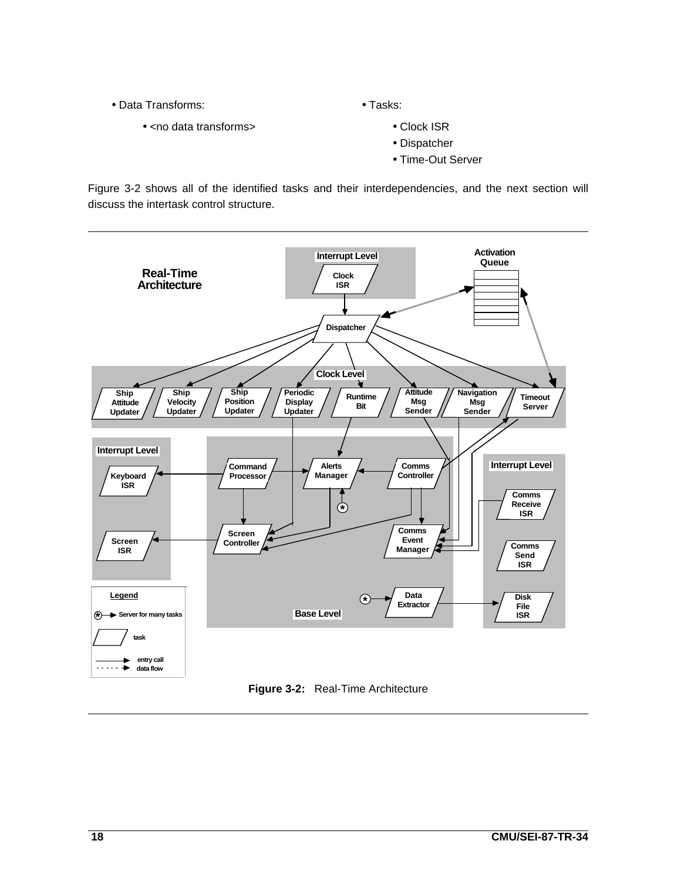- Data Transforms: Tasks:
	- <no data transforms> Clock ISR

- - Dispatcher
	- Time-Out Server

Figure 3-2 shows all of the identified tasks and their interdependencies, and the next section will discuss the intertask control structure.

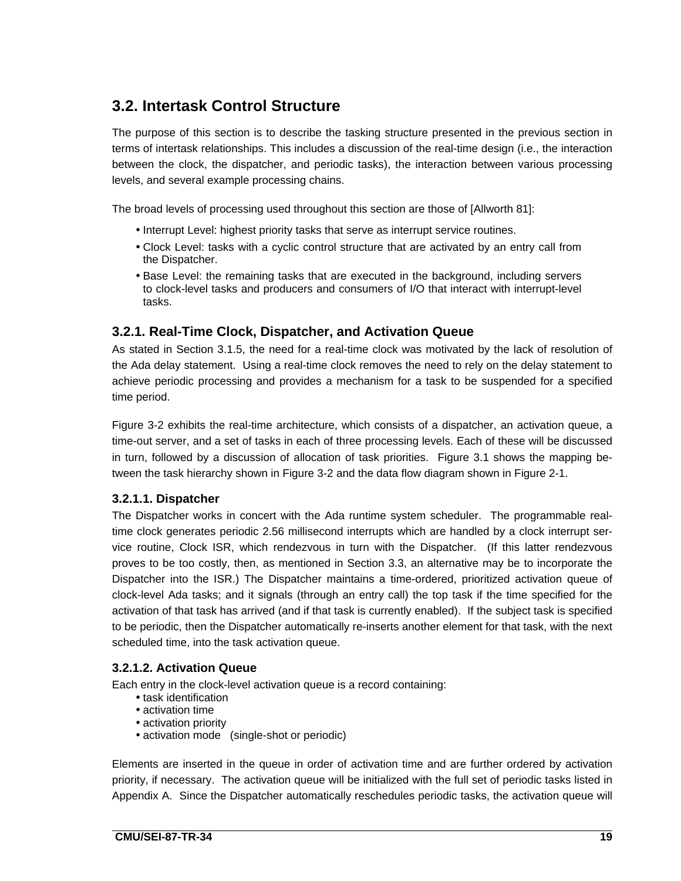# **3.2. Intertask Control Structure**

The purpose of this section is to describe the tasking structure presented in the previous section in terms of intertask relationships. This includes a discussion of the real-time design (i.e., the interaction between the clock, the dispatcher, and periodic tasks), the interaction between various processing levels, and several example processing chains.

The broad levels of processing used throughout this section are those of [Allworth 81]:

- Interrupt Level: highest priority tasks that serve as interrupt service routines.
- Clock Level: tasks with a cyclic control structure that are activated by an entry call from the Dispatcher.
- Base Level: the remaining tasks that are executed in the background, including servers to clock-level tasks and producers and consumers of I/O that interact with interrupt-level tasks.

### **3.2.1. Real-Time Clock, Dispatcher, and Activation Queue**

As stated in Section 3.1.5, the need for a real-time clock was motivated by the lack of resolution of the Ada delay statement. Using a real-time clock removes the need to rely on the delay statement to achieve periodic processing and provides a mechanism for a task to be suspended for a specified time period.

Figure 3-2 exhibits the real-time architecture, which consists of a dispatcher, an activation queue, a time-out server, and a set of tasks in each of three processing levels. Each of these will be discussed in turn, followed by a discussion of allocation of task priorities. Figure 3.1 shows the mapping between the task hierarchy shown in Figure 3-2 and the data flow diagram shown in Figure 2-1.

#### **3.2.1.1. Dispatcher**

The Dispatcher works in concert with the Ada runtime system scheduler. The programmable realtime clock generates periodic 2.56 millisecond interrupts which are handled by a clock interrupt service routine, Clock ISR, which rendezvous in turn with the Dispatcher. (If this latter rendezvous proves to be too costly, then, as mentioned in Section 3.3, an alternative may be to incorporate the Dispatcher into the ISR.) The Dispatcher maintains a time-ordered, prioritized activation queue of clock-level Ada tasks; and it signals (through an entry call) the top task if the time specified for the activation of that task has arrived (and if that task is currently enabled). If the subject task is specified to be periodic, then the Dispatcher automatically re-inserts another element for that task, with the next scheduled time, into the task activation queue.

#### **3.2.1.2. Activation Queue**

Each entry in the clock-level activation queue is a record containing:

- task identification
- activation time
- activation priority
- activation mode (single-shot or periodic)

Elements are inserted in the queue in order of activation time and are further ordered by activation priority, if necessary. The activation queue will be initialized with the full set of periodic tasks listed in Appendix A. Since the Dispatcher automatically reschedules periodic tasks, the activation queue will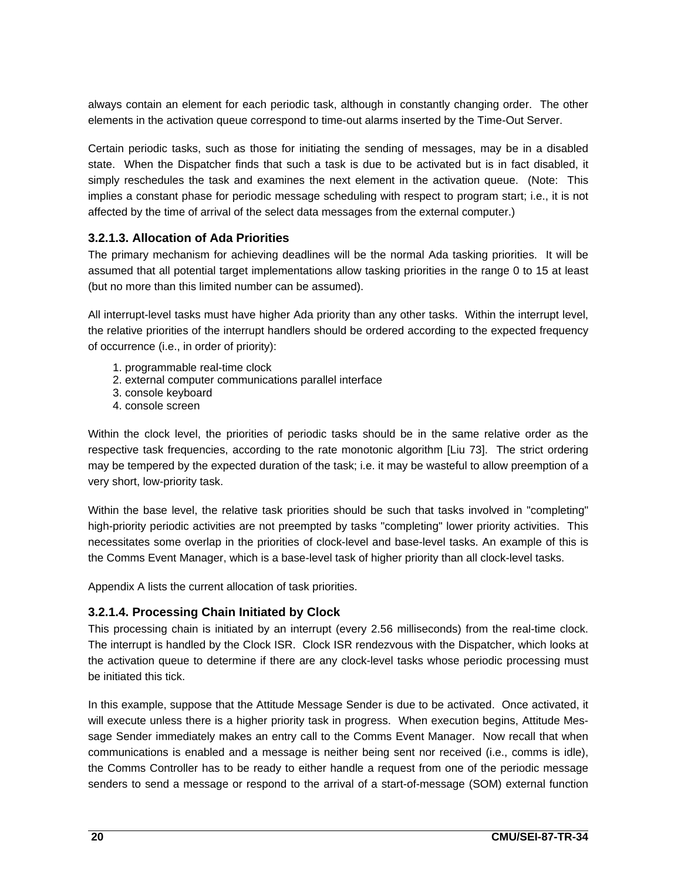always contain an element for each periodic task, although in constantly changing order. The other elements in the activation queue correspond to time-out alarms inserted by the Time-Out Server.

Certain periodic tasks, such as those for initiating the sending of messages, may be in a disabled state. When the Dispatcher finds that such a task is due to be activated but is in fact disabled, it simply reschedules the task and examines the next element in the activation queue. (Note: This implies a constant phase for periodic message scheduling with respect to program start; i.e., it is not affected by the time of arrival of the select data messages from the external computer.)

#### **3.2.1.3. Allocation of Ada Priorities**

The primary mechanism for achieving deadlines will be the normal Ada tasking priorities. It will be assumed that all potential target implementations allow tasking priorities in the range 0 to 15 at least (but no more than this limited number can be assumed).

All interrupt-level tasks must have higher Ada priority than any other tasks. Within the interrupt level, the relative priorities of the interrupt handlers should be ordered according to the expected frequency of occurrence (i.e., in order of priority):

- 1. programmable real-time clock
- 2. external computer communications parallel interface
- 3. console keyboard
- 4. console screen

Within the clock level, the priorities of periodic tasks should be in the same relative order as the respective task frequencies, according to the rate monotonic algorithm [Liu 73]. The strict ordering may be tempered by the expected duration of the task; i.e. it may be wasteful to allow preemption of a very short, low-priority task.

Within the base level, the relative task priorities should be such that tasks involved in "completing" high-priority periodic activities are not preempted by tasks "completing" lower priority activities. This necessitates some overlap in the priorities of clock-level and base-level tasks. An example of this is the Comms Event Manager, which is a base-level task of higher priority than all clock-level tasks.

Appendix A lists the current allocation of task priorities.

### **3.2.1.4. Processing Chain Initiated by Clock**

This processing chain is initiated by an interrupt (every 2.56 milliseconds) from the real-time clock. The interrupt is handled by the Clock ISR. Clock ISR rendezvous with the Dispatcher, which looks at the activation queue to determine if there are any clock-level tasks whose periodic processing must be initiated this tick.

In this example, suppose that the Attitude Message Sender is due to be activated. Once activated, it will execute unless there is a higher priority task in progress. When execution begins, Attitude Message Sender immediately makes an entry call to the Comms Event Manager. Now recall that when communications is enabled and a message is neither being sent nor received (i.e., comms is idle), the Comms Controller has to be ready to either handle a request from one of the periodic message senders to send a message or respond to the arrival of a start-of-message (SOM) external function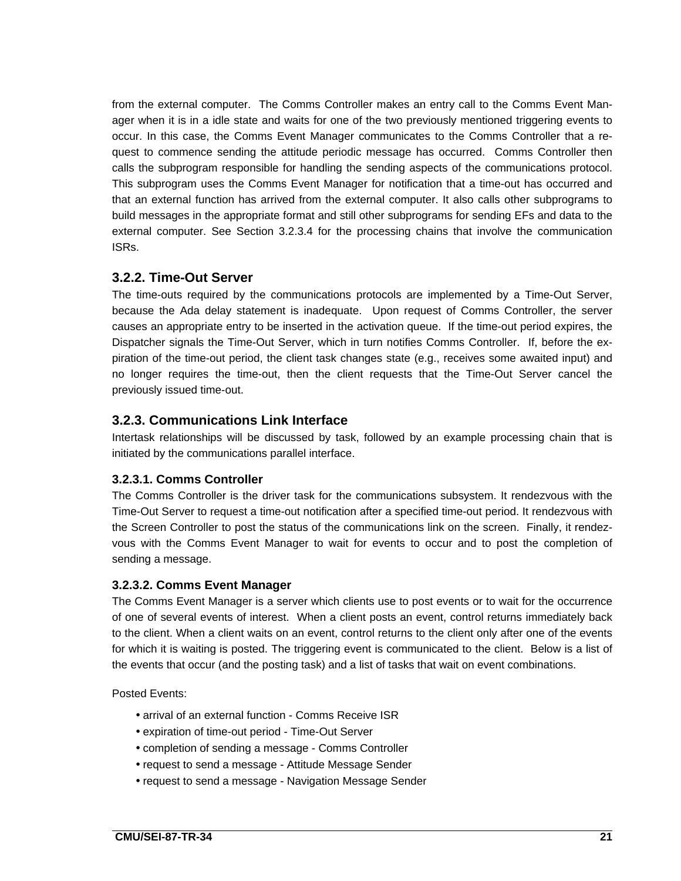from the external computer. The Comms Controller makes an entry call to the Comms Event Manager when it is in a idle state and waits for one of the two previously mentioned triggering events to occur. In this case, the Comms Event Manager communicates to the Comms Controller that a request to commence sending the attitude periodic message has occurred. Comms Controller then calls the subprogram responsible for handling the sending aspects of the communications protocol. This subprogram uses the Comms Event Manager for notification that a time-out has occurred and that an external function has arrived from the external computer. It also calls other subprograms to build messages in the appropriate format and still other subprograms for sending EFs and data to the external computer. See Section 3.2.3.4 for the processing chains that involve the communication ISRs.

#### **3.2.2. Time-Out Server**

The time-outs required by the communications protocols are implemented by a Time-Out Server, because the Ada delay statement is inadequate. Upon request of Comms Controller, the server causes an appropriate entry to be inserted in the activation queue. If the time-out period expires, the Dispatcher signals the Time-Out Server, which in turn notifies Comms Controller. If, before the expiration of the time-out period, the client task changes state (e.g., receives some awaited input) and no longer requires the time-out, then the client requests that the Time-Out Server cancel the previously issued time-out.

### **3.2.3. Communications Link Interface**

Intertask relationships will be discussed by task, followed by an example processing chain that is initiated by the communications parallel interface.

#### **3.2.3.1. Comms Controller**

The Comms Controller is the driver task for the communications subsystem. It rendezvous with the Time-Out Server to request a time-out notification after a specified time-out period. It rendezvous with the Screen Controller to post the status of the communications link on the screen. Finally, it rendezvous with the Comms Event Manager to wait for events to occur and to post the completion of sending a message.

#### **3.2.3.2. Comms Event Manager**

The Comms Event Manager is a server which clients use to post events or to wait for the occurrence of one of several events of interest. When a client posts an event, control returns immediately back to the client. When a client waits on an event, control returns to the client only after one of the events for which it is waiting is posted. The triggering event is communicated to the client. Below is a list of the events that occur (and the posting task) and a list of tasks that wait on event combinations.

Posted Events:

- arrival of an external function Comms Receive ISR
- expiration of time-out period Time-Out Server
- completion of sending a message Comms Controller
- request to send a message Attitude Message Sender
- request to send a message Navigation Message Sender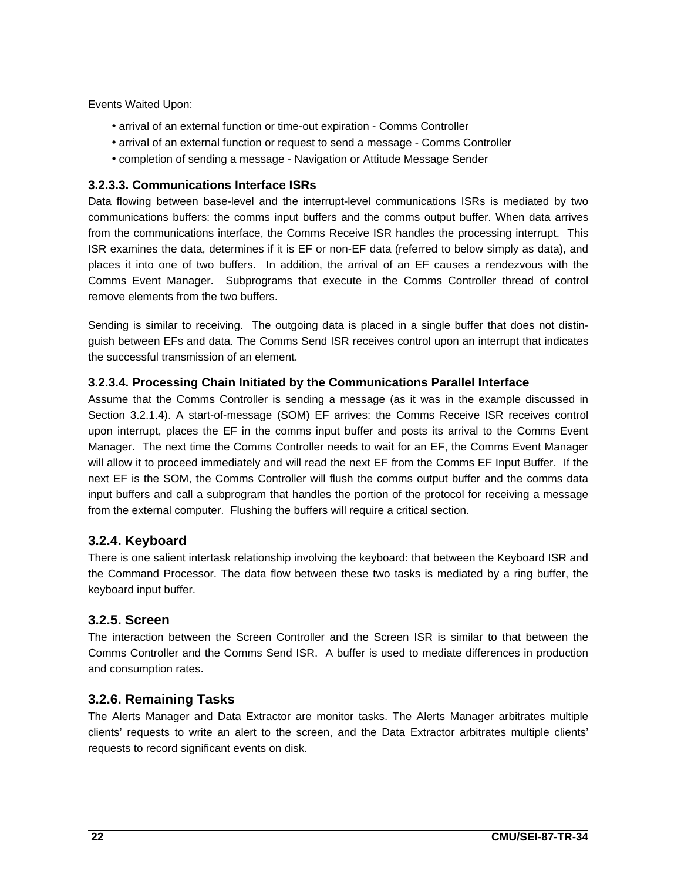Events Waited Upon:

- arrival of an external function or time-out expiration Comms Controller
- arrival of an external function or request to send a message Comms Controller
- completion of sending a message Navigation or Attitude Message Sender

#### **3.2.3.3. Communications Interface ISRs**

Data flowing between base-level and the interrupt-level communications ISRs is mediated by two communications buffers: the comms input buffers and the comms output buffer. When data arrives from the communications interface, the Comms Receive ISR handles the processing interrupt. This ISR examines the data, determines if it is EF or non-EF data (referred to below simply as data), and places it into one of two buffers. In addition, the arrival of an EF causes a rendezvous with the Comms Event Manager. Subprograms that execute in the Comms Controller thread of control remove elements from the two buffers.

Sending is similar to receiving. The outgoing data is placed in a single buffer that does not distinguish between EFs and data. The Comms Send ISR receives control upon an interrupt that indicates the successful transmission of an element.

#### **3.2.3.4. Processing Chain Initiated by the Communications Parallel Interface**

Assume that the Comms Controller is sending a message (as it was in the example discussed in Section 3.2.1.4). A start-of-message (SOM) EF arrives: the Comms Receive ISR receives control upon interrupt, places the EF in the comms input buffer and posts its arrival to the Comms Event Manager. The next time the Comms Controller needs to wait for an EF, the Comms Event Manager will allow it to proceed immediately and will read the next EF from the Comms EF Input Buffer. If the next EF is the SOM, the Comms Controller will flush the comms output buffer and the comms data input buffers and call a subprogram that handles the portion of the protocol for receiving a message from the external computer. Flushing the buffers will require a critical section.

### **3.2.4. Keyboard**

There is one salient intertask relationship involving the keyboard: that between the Keyboard ISR and the Command Processor. The data flow between these two tasks is mediated by a ring buffer, the keyboard input buffer.

### **3.2.5. Screen**

The interaction between the Screen Controller and the Screen ISR is similar to that between the Comms Controller and the Comms Send ISR. A buffer is used to mediate differences in production and consumption rates.

### **3.2.6. Remaining Tasks**

The Alerts Manager and Data Extractor are monitor tasks. The Alerts Manager arbitrates multiple clients' requests to write an alert to the screen, and the Data Extractor arbitrates multiple clients' requests to record significant events on disk.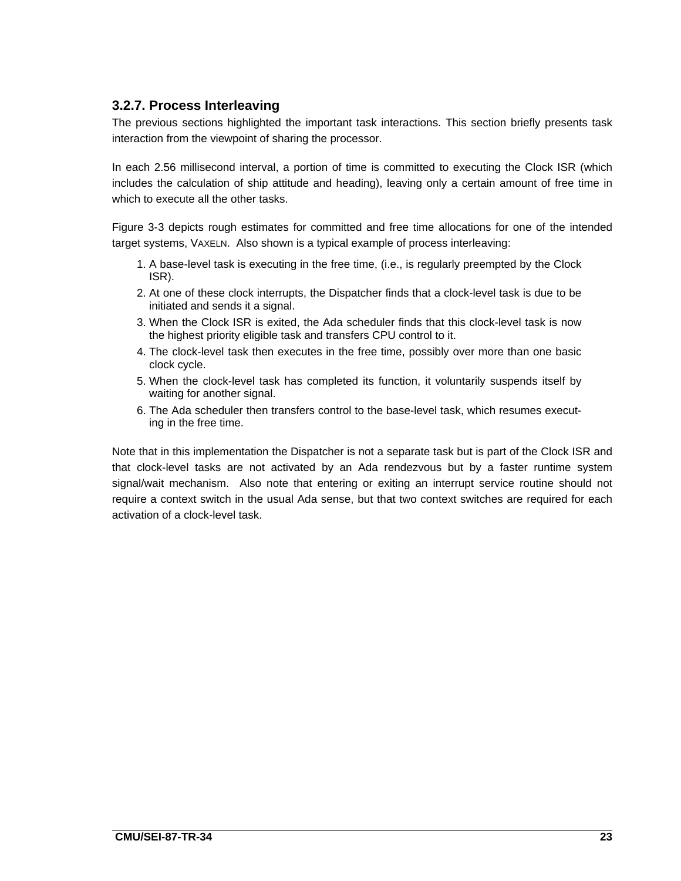## **3.2.7. Process Interleaving**

The previous sections highlighted the important task interactions. This section briefly presents task interaction from the viewpoint of sharing the processor.

In each 2.56 millisecond interval, a portion of time is committed to executing the Clock ISR (which includes the calculation of ship attitude and heading), leaving only a certain amount of free time in which to execute all the other tasks.

Figure 3-3 depicts rough estimates for committed and free time allocations for one of the intended target systems, VAXELN. Also shown is a typical example of process interleaving:

- 1. A base-level task is executing in the free time, (i.e., is regularly preempted by the Clock ISR).
- 2. At one of these clock interrupts, the Dispatcher finds that a clock-level task is due to be initiated and sends it a signal.
- 3. When the Clock ISR is exited, the Ada scheduler finds that this clock-level task is now the highest priority eligible task and transfers CPU control to it.
- 4. The clock-level task then executes in the free time, possibly over more than one basic clock cycle.
- 5. When the clock-level task has completed its function, it voluntarily suspends itself by waiting for another signal.
- 6. The Ada scheduler then transfers control to the base-level task, which resumes executing in the free time.

Note that in this implementation the Dispatcher is not a separate task but is part of the Clock ISR and that clock-level tasks are not activated by an Ada rendezvous but by a faster runtime system signal/wait mechanism. Also note that entering or exiting an interrupt service routine should not require a context switch in the usual Ada sense, but that two context switches are required for each activation of a clock-level task.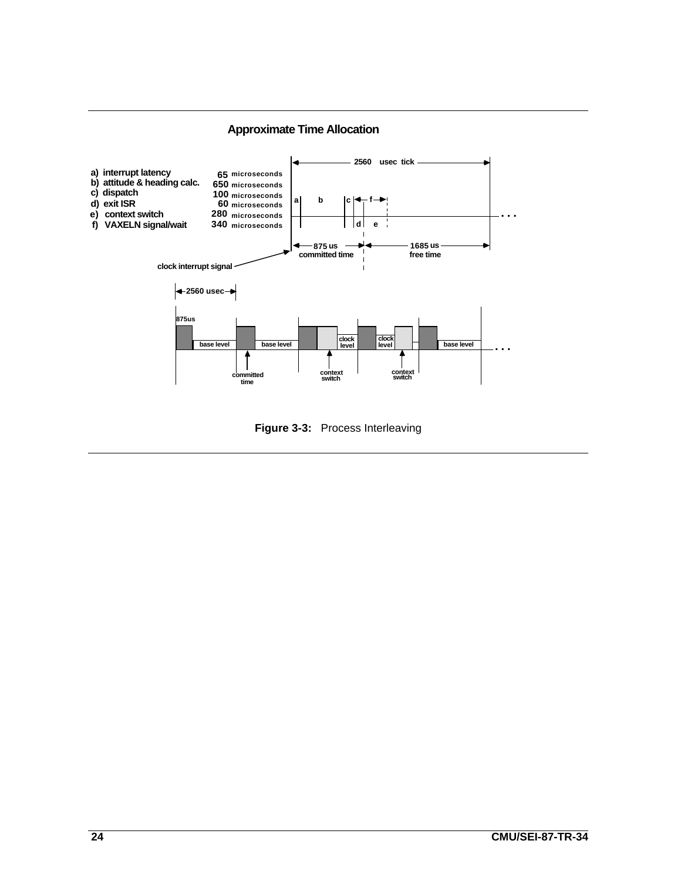

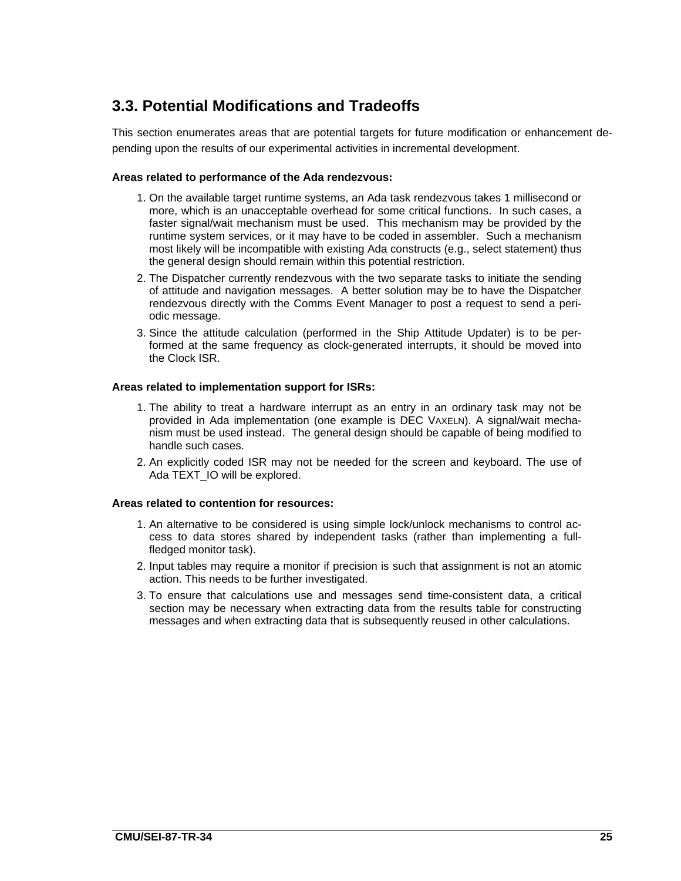# **3.3. Potential Modifications and Tradeoffs**

This section enumerates areas that are potential targets for future modification or enhancement depending upon the results of our experimental activities in incremental development.

#### **Areas related to performance of the Ada rendezvous:**

- 1. On the available target runtime systems, an Ada task rendezvous takes 1 millisecond or more, which is an unacceptable overhead for some critical functions. In such cases, a faster signal/wait mechanism must be used. This mechanism may be provided by the runtime system services, or it may have to be coded in assembler. Such a mechanism most likely will be incompatible with existing Ada constructs (e.g., select statement) thus the general design should remain within this potential restriction.
- 2. The Dispatcher currently rendezvous with the two separate tasks to initiate the sending of attitude and navigation messages. A better solution may be to have the Dispatcher rendezvous directly with the Comms Event Manager to post a request to send a periodic message.
- 3. Since the attitude calculation (performed in the Ship Attitude Updater) is to be performed at the same frequency as clock-generated interrupts, it should be moved into the Clock ISR.

#### **Areas related to implementation support for ISRs:**

- 1. The ability to treat a hardware interrupt as an entry in an ordinary task may not be provided in Ada implementation (one example is DEC VAXELN). A signal/wait mechanism must be used instead. The general design should be capable of being modified to handle such cases.
- 2. An explicitly coded ISR may not be needed for the screen and keyboard. The use of Ada TEXT\_IO will be explored.

#### **Areas related to contention for resources:**

- 1. An alternative to be considered is using simple lock/unlock mechanisms to control access to data stores shared by independent tasks (rather than implementing a fullfledged monitor task).
- 2. Input tables may require a monitor if precision is such that assignment is not an atomic action. This needs to be further investigated.
- 3. To ensure that calculations use and messages send time-consistent data, a critical section may be necessary when extracting data from the results table for constructing messages and when extracting data that is subsequently reused in other calculations.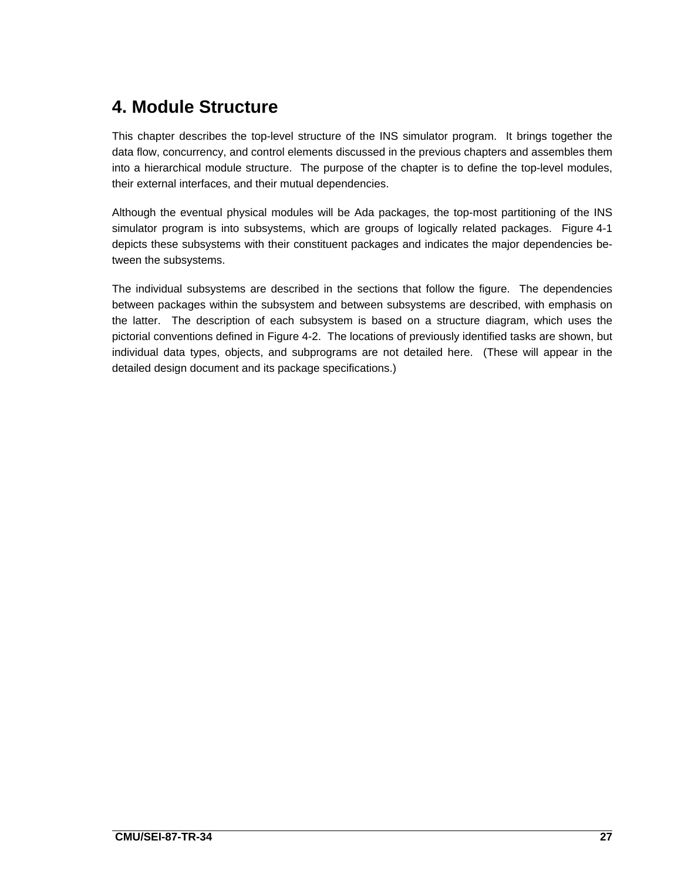# **4. Module Structure**

This chapter describes the top-level structure of the INS simulator program. It brings together the data flow, concurrency, and control elements discussed in the previous chapters and assembles them into a hierarchical module structure. The purpose of the chapter is to define the top-level modules, their external interfaces, and their mutual dependencies.

Although the eventual physical modules will be Ada packages, the top-most partitioning of the INS simulator program is into subsystems, which are groups of logically related packages. Figure 4-1 depicts these subsystems with their constituent packages and indicates the major dependencies between the subsystems.

The individual subsystems are described in the sections that follow the figure. The dependencies between packages within the subsystem and between subsystems are described, with emphasis on the latter. The description of each subsystem is based on a structure diagram, which uses the pictorial conventions defined in Figure 4-2. The locations of previously identified tasks are shown, but individual data types, objects, and subprograms are not detailed here. (These will appear in the detailed design document and its package specifications.)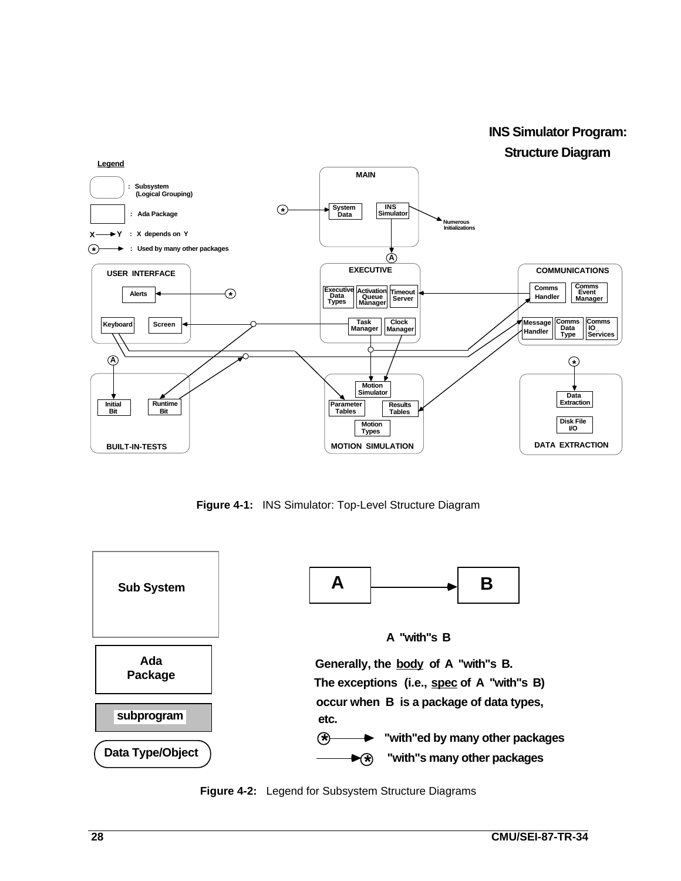**INS Simulator Program: Structure Diagram** 



**Figure 4-1:** INS Simulator: Top-Level Structure Diagram



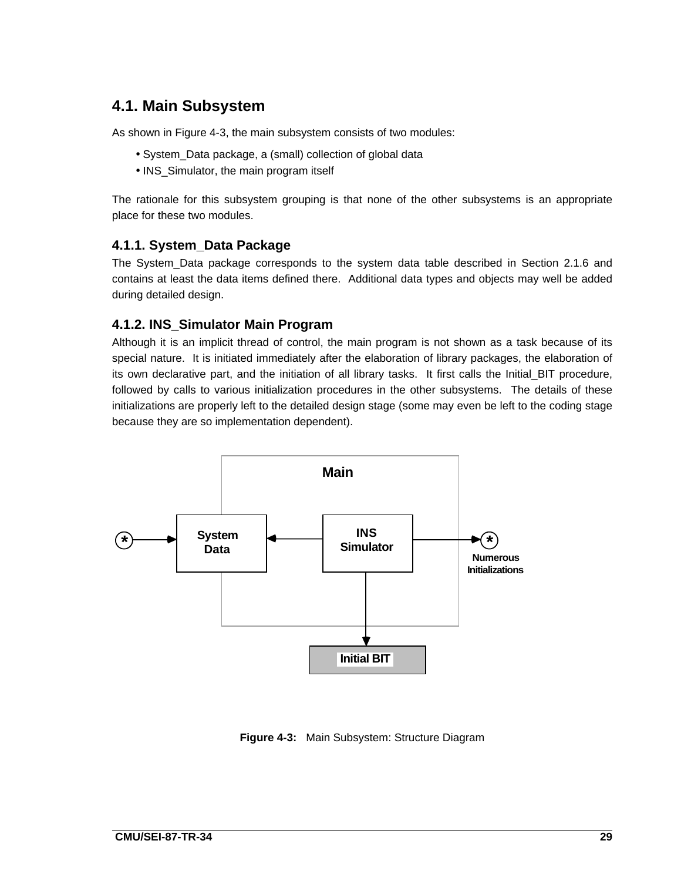# **4.1. Main Subsystem**

As shown in Figure 4-3, the main subsystem consists of two modules:

- System\_Data package, a (small) collection of global data
- INS\_Simulator, the main program itself

The rationale for this subsystem grouping is that none of the other subsystems is an appropriate place for these two modules.

### **4.1.1. System\_Data Package**

The System\_Data package corresponds to the system data table described in Section 2.1.6 and contains at least the data items defined there. Additional data types and objects may well be added during detailed design.

### **4.1.2. INS\_Simulator Main Program**

Although it is an implicit thread of control, the main program is not shown as a task because of its special nature. It is initiated immediately after the elaboration of library packages, the elaboration of its own declarative part, and the initiation of all library tasks. It first calls the Initial\_BIT procedure, followed by calls to various initialization procedures in the other subsystems. The details of these initializations are properly left to the detailed design stage (some may even be left to the coding stage because they are so implementation dependent).



**Figure 4-3:** Main Subsystem: Structure Diagram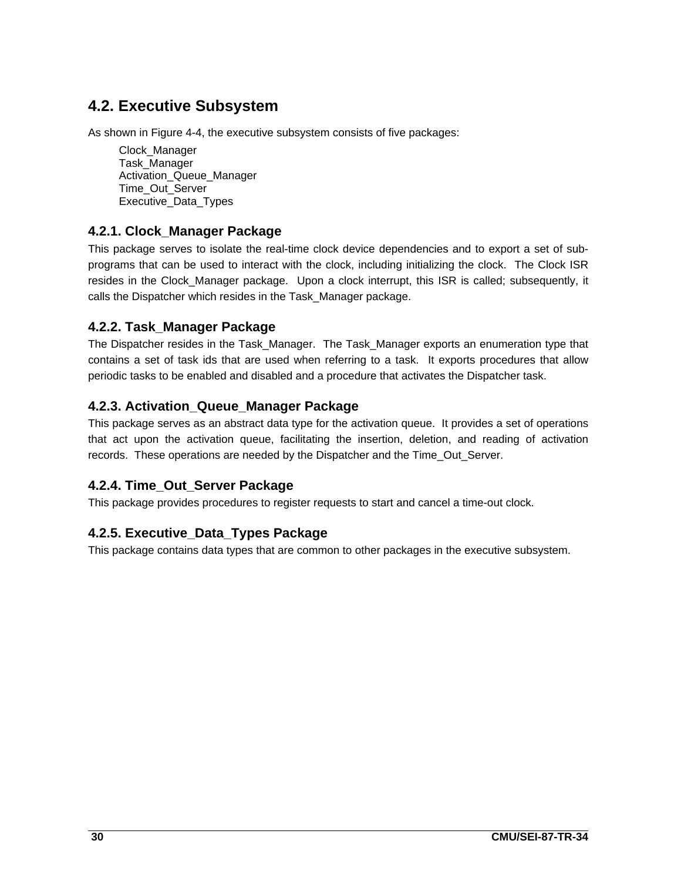# **4.2. Executive Subsystem**

As shown in Figure 4-4, the executive subsystem consists of five packages:

Clock\_Manager Task\_Manager Activation\_Queue\_Manager Time\_Out\_Server Executive\_Data\_Types

# **4.2.1. Clock\_Manager Package**

This package serves to isolate the real-time clock device dependencies and to export a set of subprograms that can be used to interact with the clock, including initializing the clock. The Clock ISR resides in the Clock\_Manager package. Upon a clock interrupt, this ISR is called; subsequently, it calls the Dispatcher which resides in the Task\_Manager package.

## **4.2.2. Task\_Manager Package**

The Dispatcher resides in the Task Manager. The Task Manager exports an enumeration type that contains a set of task ids that are used when referring to a task. It exports procedures that allow periodic tasks to be enabled and disabled and a procedure that activates the Dispatcher task.

# **4.2.3. Activation\_Queue\_Manager Package**

This package serves as an abstract data type for the activation queue. It provides a set of operations that act upon the activation queue, facilitating the insertion, deletion, and reading of activation records. These operations are needed by the Dispatcher and the Time\_Out\_Server.

# **4.2.4. Time\_Out\_Server Package**

This package provides procedures to register requests to start and cancel a time-out clock.

# **4.2.5. Executive\_Data\_Types Package**

This package contains data types that are common to other packages in the executive subsystem.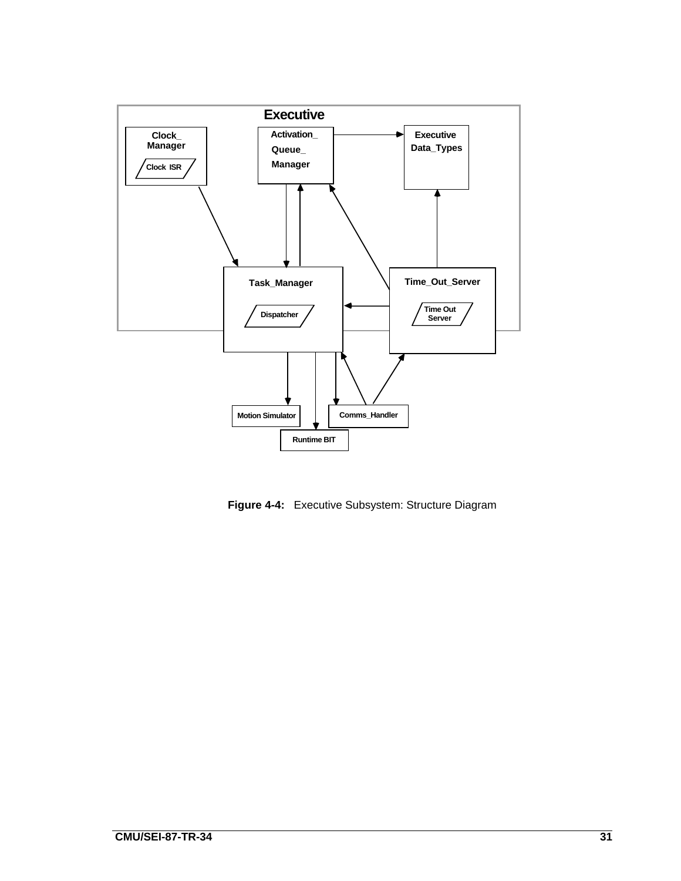

**Figure 4-4:** Executive Subsystem: Structure Diagram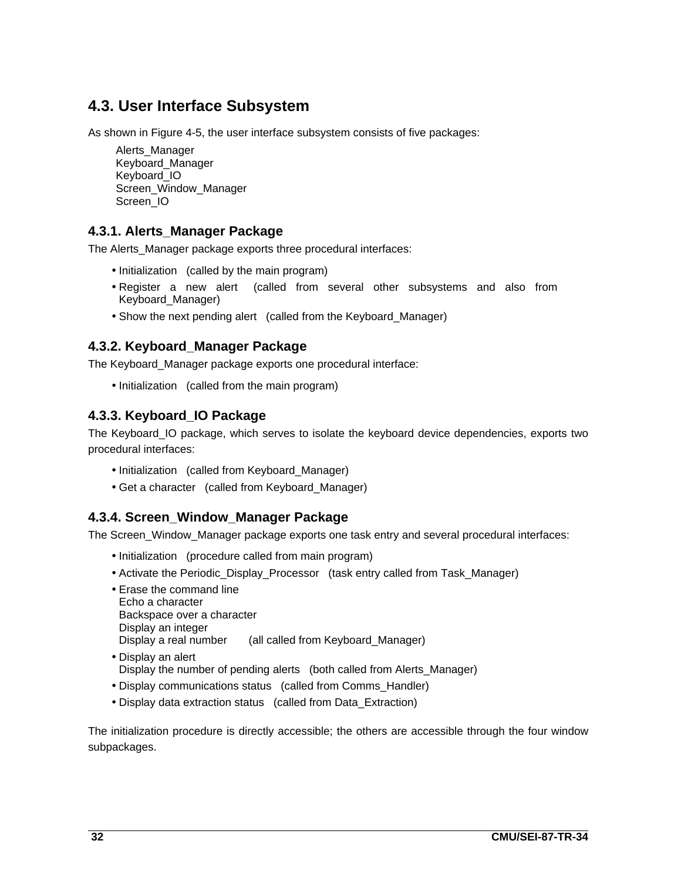# **4.3. User Interface Subsystem**

As shown in Figure 4-5, the user interface subsystem consists of five packages:

Alerts\_Manager Keyboard\_Manager Keyboard\_IO Screen\_Window\_Manager Screen\_IO

## **4.3.1. Alerts\_Manager Package**

The Alerts\_Manager package exports three procedural interfaces:

- Initialization (called by the main program)
- Register a new alert (called from several other subsystems and also from Keyboard\_Manager)
- Show the next pending alert (called from the Keyboard\_Manager)

### **4.3.2. Keyboard\_Manager Package**

The Keyboard\_Manager package exports one procedural interface:

• Initialization (called from the main program)

## **4.3.3. Keyboard\_IO Package**

The Keyboard\_IO package, which serves to isolate the keyboard device dependencies, exports two procedural interfaces:

- Initialization (called from Keyboard\_Manager)
- Get a character (called from Keyboard\_Manager)

### **4.3.4. Screen\_Window\_Manager Package**

The Screen\_Window\_Manager package exports one task entry and several procedural interfaces:

- Initialization (procedure called from main program)
- Activate the Periodic\_Display\_Processor (task entry called from Task\_Manager)
- Erase the command line Echo a character Backspace over a character Display an integer Display a real number (all called from Keyboard Manager)
- Display an alert Display the number of pending alerts (both called from Alerts\_Manager)
- Display communications status (called from Comms\_Handler)
- Display data extraction status (called from Data\_Extraction)

The initialization procedure is directly accessible; the others are accessible through the four window subpackages.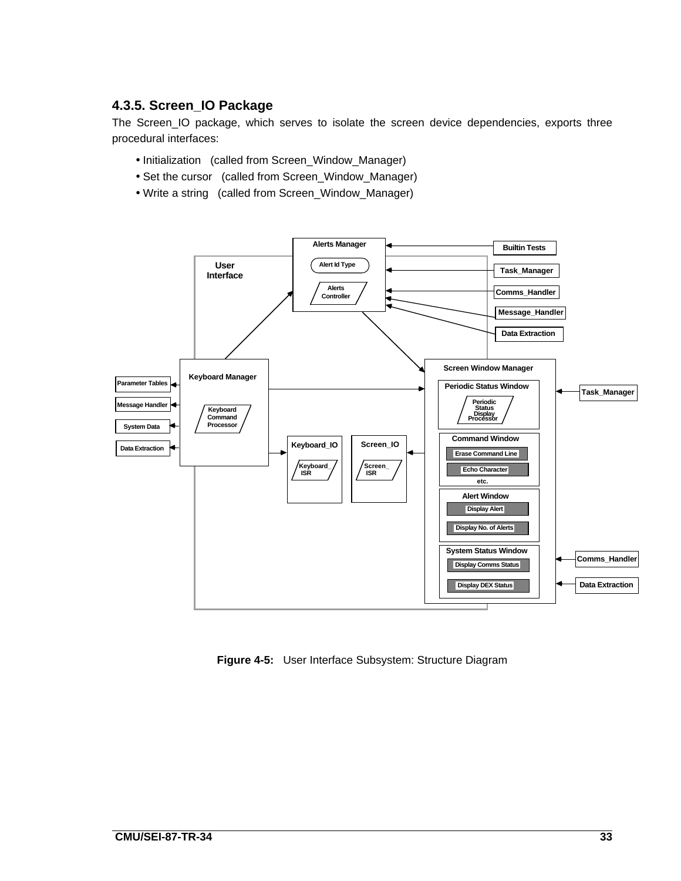### **4.3.5. Screen\_IO Package**

The Screen\_IO package, which serves to isolate the screen device dependencies, exports three procedural interfaces:

- Initialization (called from Screen\_Window\_Manager)
- Set the cursor (called from Screen\_Window\_Manager)
- Write a string (called from Screen\_Window\_Manager)



**Figure 4-5:** User Interface Subsystem: Structure Diagram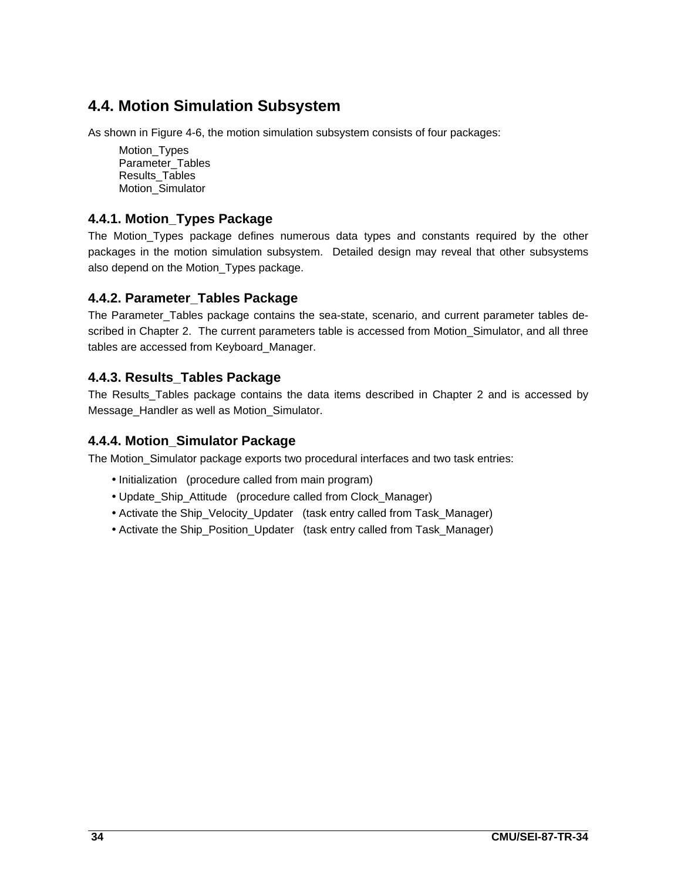# **4.4. Motion Simulation Subsystem**

As shown in Figure 4-6, the motion simulation subsystem consists of four packages:

Motion Types Parameter\_Tables Results\_Tables Motion\_Simulator

### **4.4.1. Motion\_Types Package**

The Motion\_Types package defines numerous data types and constants required by the other packages in the motion simulation subsystem. Detailed design may reveal that other subsystems also depend on the Motion\_Types package.

## **4.4.2. Parameter\_Tables Package**

The Parameter\_Tables package contains the sea-state, scenario, and current parameter tables described in Chapter 2. The current parameters table is accessed from Motion Simulator, and all three tables are accessed from Keyboard\_Manager.

### **4.4.3. Results\_Tables Package**

The Results\_Tables package contains the data items described in Chapter 2 and is accessed by Message Handler as well as Motion Simulator.

### **4.4.4. Motion\_Simulator Package**

The Motion\_Simulator package exports two procedural interfaces and two task entries:

- Initialization (procedure called from main program)
- Update Ship Attitude (procedure called from Clock Manager)
- Activate the Ship\_Velocity\_Updater (task entry called from Task\_Manager)
- Activate the Ship\_Position\_Updater (task entry called from Task\_Manager)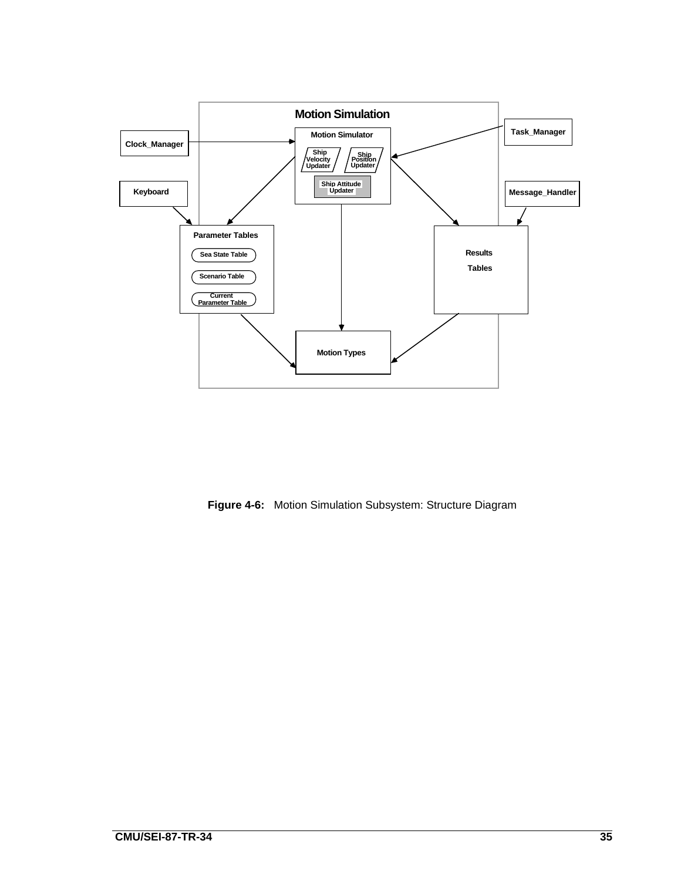

**Figure 4-6:** Motion Simulation Subsystem: Structure Diagram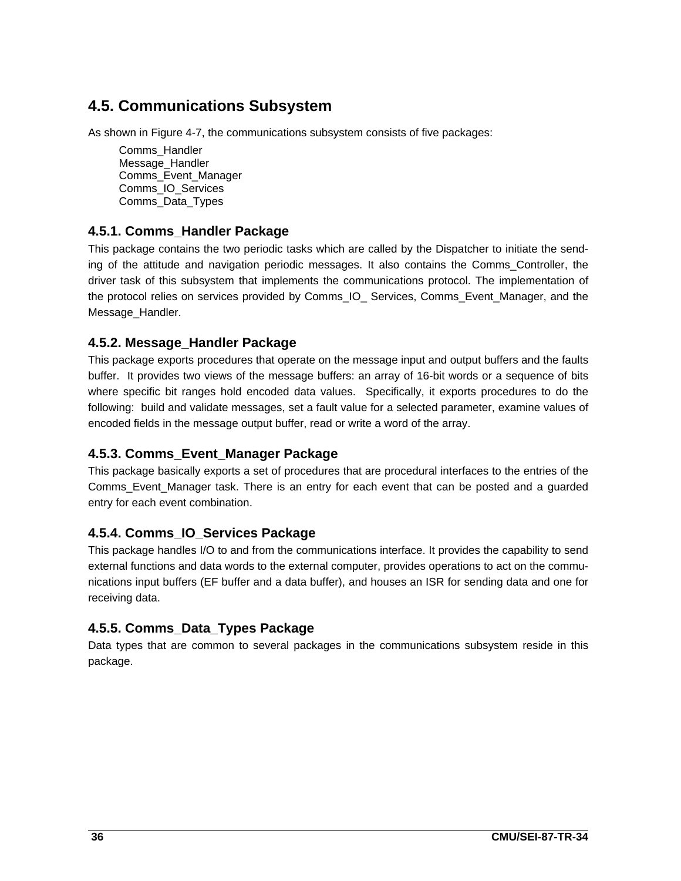# **4.5. Communications Subsystem**

As shown in Figure 4-7, the communications subsystem consists of five packages:

Comms\_Handler Message Handler Comms\_Event\_Manager Comms\_IO\_Services Comms\_Data\_Types

## **4.5.1. Comms\_Handler Package**

This package contains the two periodic tasks which are called by the Dispatcher to initiate the sending of the attitude and navigation periodic messages. It also contains the Comms\_Controller, the driver task of this subsystem that implements the communications protocol. The implementation of the protocol relies on services provided by Comms\_IO\_ Services, Comms\_Event\_Manager, and the Message\_Handler.

## **4.5.2. Message\_Handler Package**

This package exports procedures that operate on the message input and output buffers and the faults buffer. It provides two views of the message buffers: an array of 16-bit words or a sequence of bits where specific bit ranges hold encoded data values. Specifically, it exports procedures to do the following: build and validate messages, set a fault value for a selected parameter, examine values of encoded fields in the message output buffer, read or write a word of the array.

### **4.5.3. Comms\_Event\_Manager Package**

This package basically exports a set of procedures that are procedural interfaces to the entries of the Comms\_Event\_Manager task. There is an entry for each event that can be posted and a guarded entry for each event combination.

# **4.5.4. Comms\_IO\_Services Package**

This package handles I/O to and from the communications interface. It provides the capability to send external functions and data words to the external computer, provides operations to act on the communications input buffers (EF buffer and a data buffer), and houses an ISR for sending data and one for receiving data.

# **4.5.5. Comms\_Data\_Types Package**

Data types that are common to several packages in the communications subsystem reside in this package.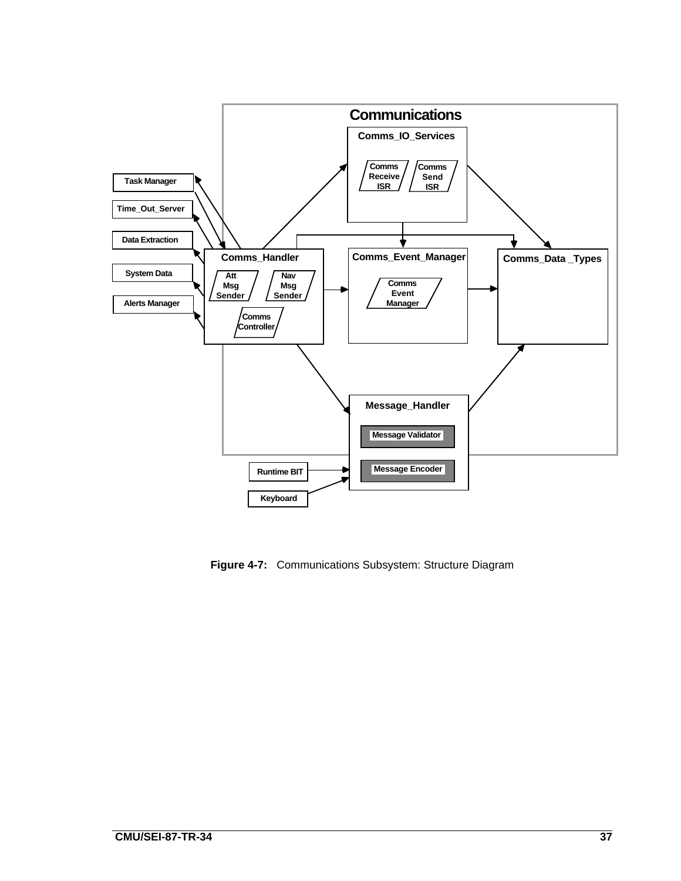

**Figure 4-7:** Communications Subsystem: Structure Diagram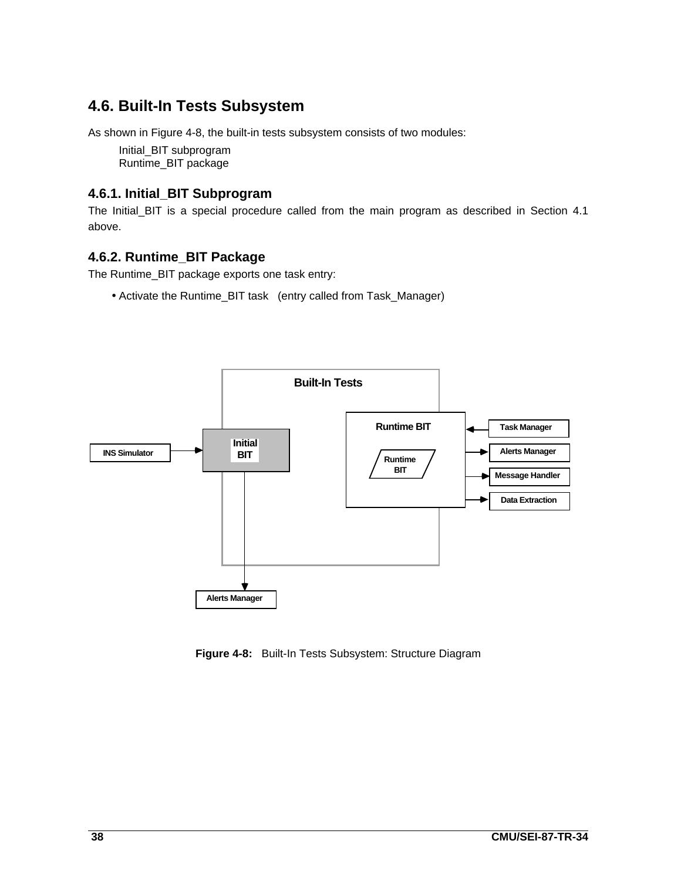# **4.6. Built-In Tests Subsystem**

As shown in Figure 4-8, the built-in tests subsystem consists of two modules:

Initial\_BIT subprogram Runtime\_BIT package

## **4.6.1. Initial\_BIT Subprogram**

The Initial\_BIT is a special procedure called from the main program as described in Section 4.1 above.

### **4.6.2. Runtime\_BIT Package**

The Runtime\_BIT package exports one task entry:

• Activate the Runtime\_BIT task (entry called from Task\_Manager)



**Figure 4-8:** Built-In Tests Subsystem: Structure Diagram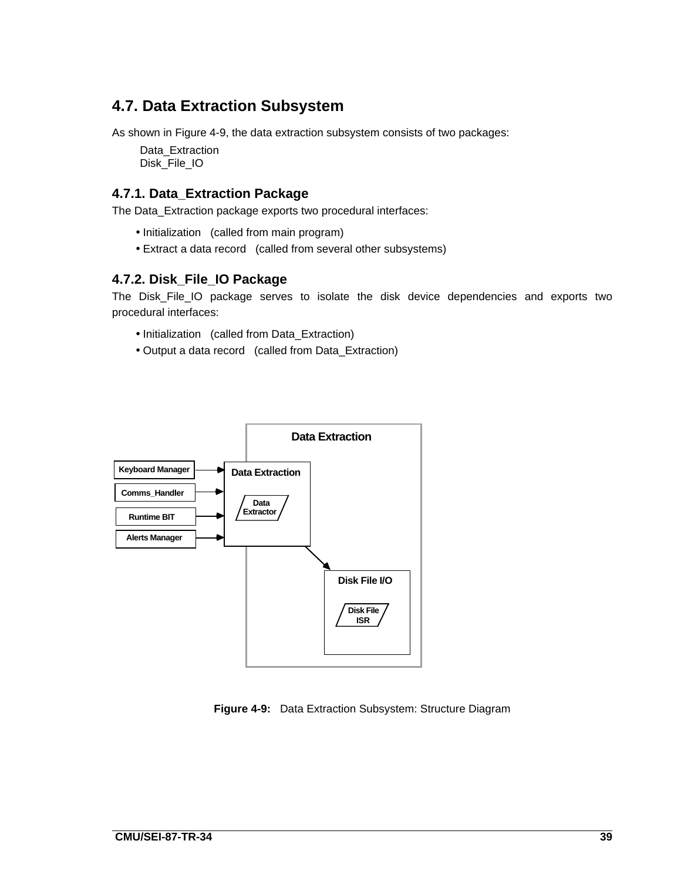# **4.7. Data Extraction Subsystem**

As shown in Figure 4-9, the data extraction subsystem consists of two packages:

Data\_Extraction Disk\_File\_IO

### **4.7.1. Data\_Extraction Package**

The Data\_Extraction package exports two procedural interfaces:

- Initialization (called from main program)
- Extract a data record (called from several other subsystems)

#### **4.7.2. Disk\_File\_IO Package**

The Disk\_File\_IO package serves to isolate the disk device dependencies and exports two procedural interfaces:

- Initialization (called from Data\_Extraction)
- Output a data record (called from Data\_Extraction)



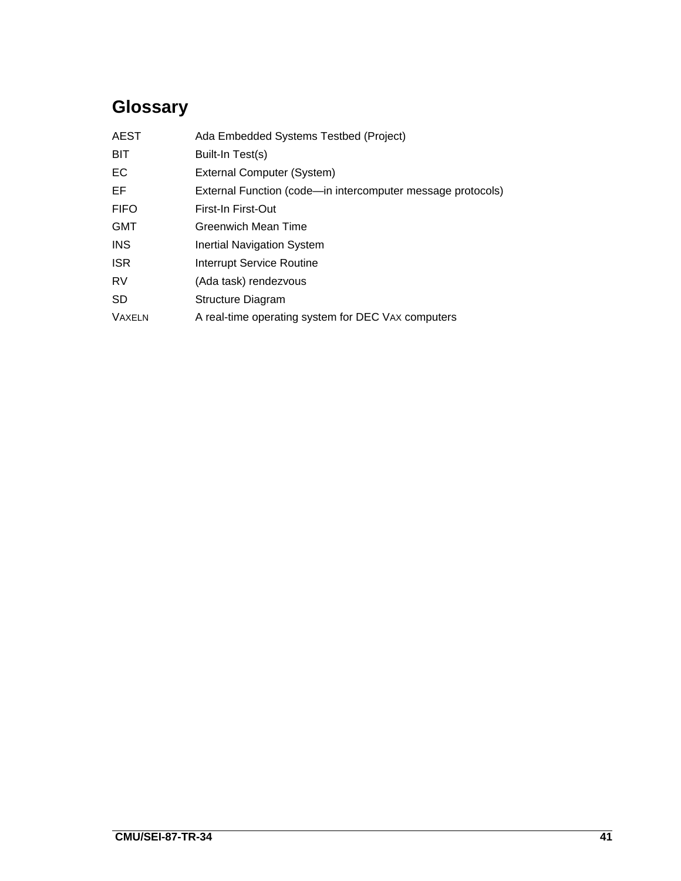# **Glossary**

| <b>AEST</b>   | Ada Embedded Systems Testbed (Project)                      |
|---------------|-------------------------------------------------------------|
| <b>BIT</b>    | Built-In Test(s)                                            |
| EC            | External Computer (System)                                  |
| EF            | External Function (code-in intercomputer message protocols) |
| <b>FIFO</b>   | First-In First-Out                                          |
| <b>GMT</b>    | Greenwich Mean Time                                         |
| <b>INS</b>    | <b>Inertial Navigation System</b>                           |
| <b>ISR</b>    | Interrupt Service Routine                                   |
| <b>RV</b>     | (Ada task) rendezvous                                       |
| <b>SD</b>     | Structure Diagram                                           |
| <b>VAXELN</b> | A real-time operating system for DEC VAX computers          |
|               |                                                             |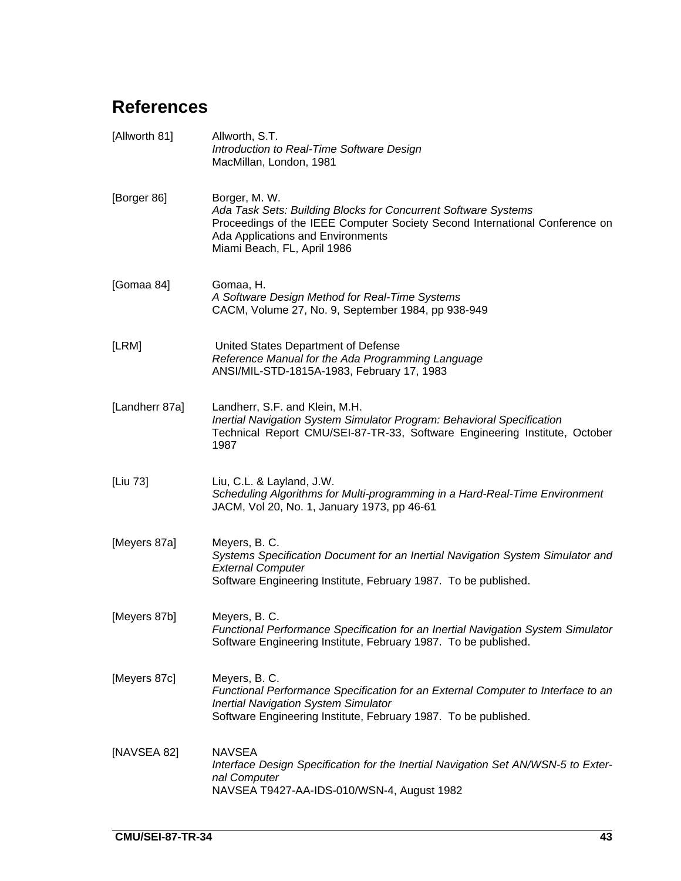# **References**

| [Allworth 81]  | Allworth, S.T.<br>Introduction to Real-Time Software Design<br>MacMillan, London, 1981                                                                                                                                             |
|----------------|------------------------------------------------------------------------------------------------------------------------------------------------------------------------------------------------------------------------------------|
| [Borger 86]    | Borger, M. W.<br>Ada Task Sets: Building Blocks for Concurrent Software Systems<br>Proceedings of the IEEE Computer Society Second International Conference on<br>Ada Applications and Environments<br>Miami Beach, FL, April 1986 |
| [Gomaa 84]     | Gomaa, H.<br>A Software Design Method for Real-Time Systems<br>CACM, Volume 27, No. 9, September 1984, pp 938-949                                                                                                                  |
| [LRM]          | United States Department of Defense<br>Reference Manual for the Ada Programming Language<br>ANSI/MIL-STD-1815A-1983, February 17, 1983                                                                                             |
| [Landherr 87a] | Landherr, S.F. and Klein, M.H.<br>Inertial Navigation System Simulator Program: Behavioral Specification<br>Technical Report CMU/SEI-87-TR-33, Software Engineering Institute, October<br>1987                                     |
| [Liu 73]       | Liu, C.L. & Layland, J.W.<br>Scheduling Algorithms for Multi-programming in a Hard-Real-Time Environment<br>JACM, Vol 20, No. 1, January 1973, pp 46-61                                                                            |
| [Meyers 87a]   | Meyers, B. C.<br>Systems Specification Document for an Inertial Navigation System Simulator and<br><b>External Computer</b><br>Software Engineering Institute, February 1987. To be published.                                     |
| [Meyers 87b]   | Meyers, B. C.<br>Functional Performance Specification for an Inertial Navigation System Simulator<br>Software Engineering Institute, February 1987. To be published.                                                               |
| [Meyers 87c]   | Meyers, B. C.<br>Functional Performance Specification for an External Computer to Interface to an<br><b>Inertial Navigation System Simulator</b><br>Software Engineering Institute, February 1987. To be published.                |
| [NAVSEA 82]    | <b>NAVSEA</b><br>Interface Design Specification for the Inertial Navigation Set AN/WSN-5 to Exter-<br>nal Computer<br>NAVSEA T9427-AA-IDS-010/WSN-4, August 1982                                                                   |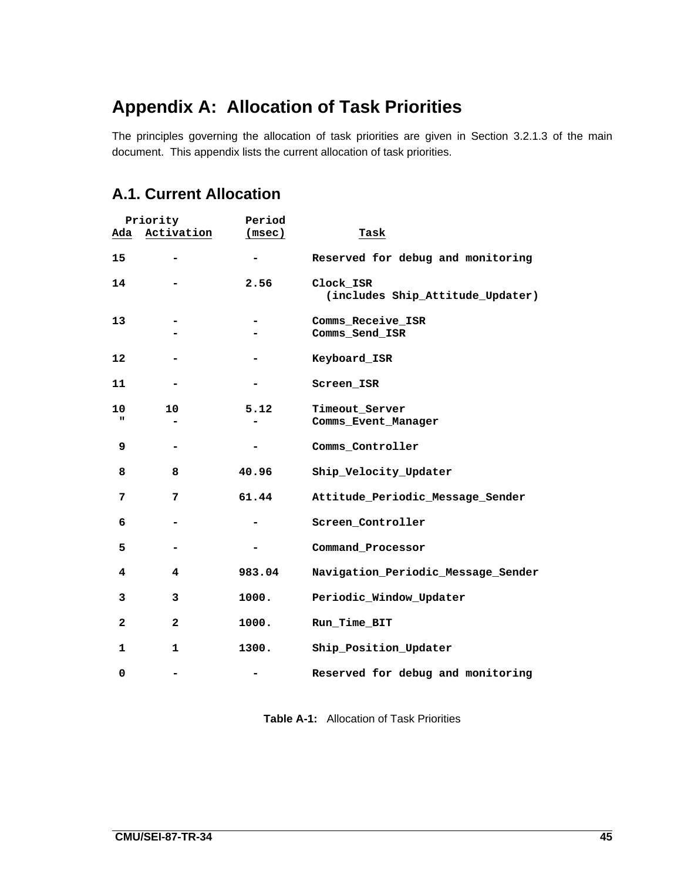# **Appendix A: Allocation of Task Priorities**

The principles governing the allocation of task priorities are given in Section 3.2.1.3 of the main document. This appendix lists the current allocation of task priorities.

# **A.1. Current Allocation**

|              | Priority     | Period |                                               |
|--------------|--------------|--------|-----------------------------------------------|
| Ada          | Activation   | (msec) | Task                                          |
| 15           |              |        | Reserved for debug and monitoring             |
| 14           |              | 2.56   | Clock_ISR<br>(includes Ship_Attitude_Updater) |
| 13           |              |        | Comms_Receive_ISR<br>Comms_Send_ISR           |
| 12           |              |        | Keyboard_ISR                                  |
| 11           |              |        | Screen ISR                                    |
| 10<br>ш      | 10           | 5.12   | Timeout_Server<br>Comms_Event_Manager         |
| 9            |              |        | Comms Controller                              |
| 8            | 8            | 40.96  | Ship_Velocity_Updater                         |
| 7            | 7            | 61.44  | Attitude_Periodic_Message_Sender              |
| 6            |              |        | Screen Controller                             |
| 5            |              |        | Command Processor                             |
| 4            | 4            | 983.04 | Navigation_Periodic_Message_Sender            |
| 3            | 3            | 1000.  | Periodic_Window_Updater                       |
| $\mathbf{2}$ | $\mathbf{2}$ | 1000.  | Run_Time_BIT                                  |
| $\mathbf 1$  | 1            | 1300.  | Ship_Position_Updater                         |
| 0            |              |        | Reserved for debug and monitoring             |

**Table A-1:** Allocation of Task Priorities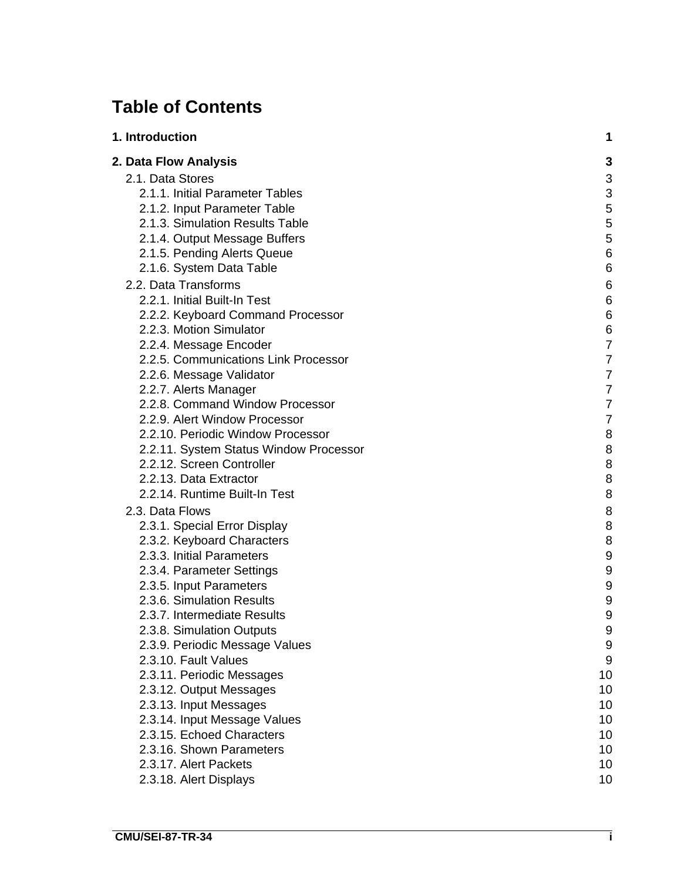# **Table of Contents**

| 1. Introduction                                        | 1               |
|--------------------------------------------------------|-----------------|
| 2. Data Flow Analysis                                  | 3               |
| 2.1. Data Stores                                       | 3               |
| 2.1.1. Initial Parameter Tables                        | 3               |
| 2.1.2. Input Parameter Table                           | 5               |
| 2.1.3. Simulation Results Table                        | 5               |
| 2.1.4. Output Message Buffers                          | 5               |
| 2.1.5. Pending Alerts Queue                            | $\,6$           |
| 2.1.6. System Data Table                               | $6\phantom{1}6$ |
| 2.2. Data Transforms                                   | 6               |
| 2.2.1. Initial Built-In Test                           | $\,6$           |
| 2.2.2. Keyboard Command Processor                      | $\,6$           |
| 2.2.3. Motion Simulator                                | 6               |
| 2.2.4. Message Encoder                                 | $\overline{7}$  |
| 2.2.5. Communications Link Processor                   | $\overline{7}$  |
| 2.2.6. Message Validator                               | $\overline{7}$  |
| 2.2.7. Alerts Manager                                  | $\overline{7}$  |
| 2.2.8. Command Window Processor                        | $\overline{7}$  |
| 2.2.9. Alert Window Processor                          | $\overline{7}$  |
| 2.2.10. Periodic Window Processor                      | 8               |
| 2.2.11. System Status Window Processor                 | 8               |
| 2.2.12. Screen Controller                              | 8               |
| 2.2.13. Data Extractor                                 | 8               |
| 2.2.14. Runtime Built-In Test                          | 8               |
| 2.3. Data Flows                                        | 8               |
| 2.3.1. Special Error Display                           | 8               |
| 2.3.2. Keyboard Characters                             | $\, 8$          |
| 2.3.3. Initial Parameters                              | 9               |
| 2.3.4. Parameter Settings                              | 9               |
| 2.3.5. Input Parameters                                | 9               |
| 2.3.6. Simulation Results                              | 9               |
| 2.3.7. Intermediate Results                            | 9               |
| 2.3.8. Simulation Outputs                              | 9               |
| 2.3.9. Periodic Message Values<br>2.3.10. Fault Values | 9<br>$9\,$      |
| 2.3.11. Periodic Messages                              | 10              |
| 2.3.12. Output Messages                                | 10              |
| 2.3.13. Input Messages                                 | 10              |
| 2.3.14. Input Message Values                           | 10              |
| 2.3.15. Echoed Characters                              | 10              |
| 2.3.16. Shown Parameters                               | 10              |
| 2.3.17. Alert Packets                                  | 10              |
| 2.3.18. Alert Displays                                 | 10              |
|                                                        |                 |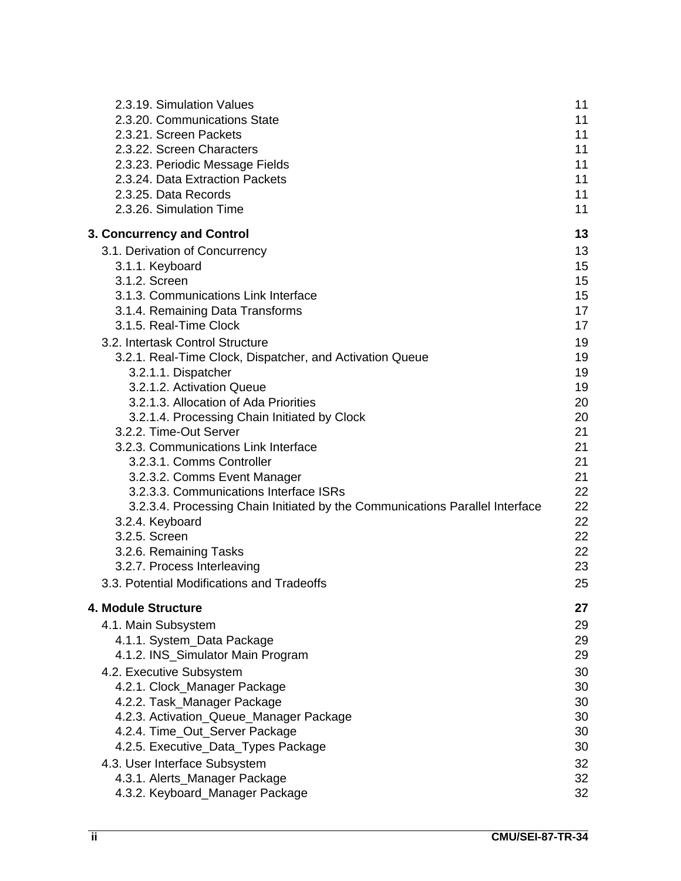| 2.3.19. Simulation Values                                                    | 11 |
|------------------------------------------------------------------------------|----|
| 2.3.20. Communications State                                                 | 11 |
| 2.3.21. Screen Packets                                                       | 11 |
| 2.3.22. Screen Characters                                                    | 11 |
| 2.3.23. Periodic Message Fields                                              | 11 |
| 2.3.24. Data Extraction Packets                                              | 11 |
| 2.3.25. Data Records                                                         | 11 |
| 2.3.26. Simulation Time                                                      | 11 |
| 3. Concurrency and Control                                                   | 13 |
| 3.1. Derivation of Concurrency                                               | 13 |
| 3.1.1. Keyboard                                                              | 15 |
| 3.1.2. Screen                                                                | 15 |
| 3.1.3. Communications Link Interface                                         | 15 |
| 3.1.4. Remaining Data Transforms                                             | 17 |
| 3.1.5. Real-Time Clock                                                       | 17 |
| 3.2. Intertask Control Structure                                             | 19 |
| 3.2.1. Real-Time Clock, Dispatcher, and Activation Queue                     | 19 |
| 3.2.1.1. Dispatcher                                                          | 19 |
| 3.2.1.2. Activation Queue                                                    | 19 |
| 3.2.1.3. Allocation of Ada Priorities                                        | 20 |
| 3.2.1.4. Processing Chain Initiated by Clock                                 | 20 |
| 3.2.2. Time-Out Server                                                       | 21 |
| 3.2.3. Communications Link Interface                                         | 21 |
| 3.2.3.1. Comms Controller                                                    | 21 |
| 3.2.3.2. Comms Event Manager                                                 | 21 |
| 3.2.3.3. Communications Interface ISRs                                       | 22 |
| 3.2.3.4. Processing Chain Initiated by the Communications Parallel Interface | 22 |
| 3.2.4. Keyboard                                                              | 22 |
| 3.2.5. Screen                                                                | 22 |
| 3.2.6. Remaining Tasks                                                       | 22 |
| 3.2.7. Process Interleaving                                                  | 23 |
| 3.3. Potential Modifications and Tradeoffs                                   | 25 |
| 4. Module Structure                                                          | 27 |
| 4.1. Main Subsystem                                                          | 29 |
| 4.1.1. System_Data Package                                                   | 29 |
| 4.1.2. INS_Simulator Main Program                                            | 29 |
| 4.2. Executive Subsystem                                                     | 30 |
| 4.2.1. Clock_Manager Package                                                 | 30 |
| 4.2.2. Task_Manager Package                                                  | 30 |
| 4.2.3. Activation_Queue_Manager Package                                      | 30 |
| 4.2.4. Time_Out_Server Package                                               | 30 |
| 4.2.5. Executive_Data_Types Package                                          | 30 |
| 4.3. User Interface Subsystem                                                | 32 |
| 4.3.1. Alerts_Manager Package                                                | 32 |
| 4.3.2. Keyboard_Manager Package                                              | 32 |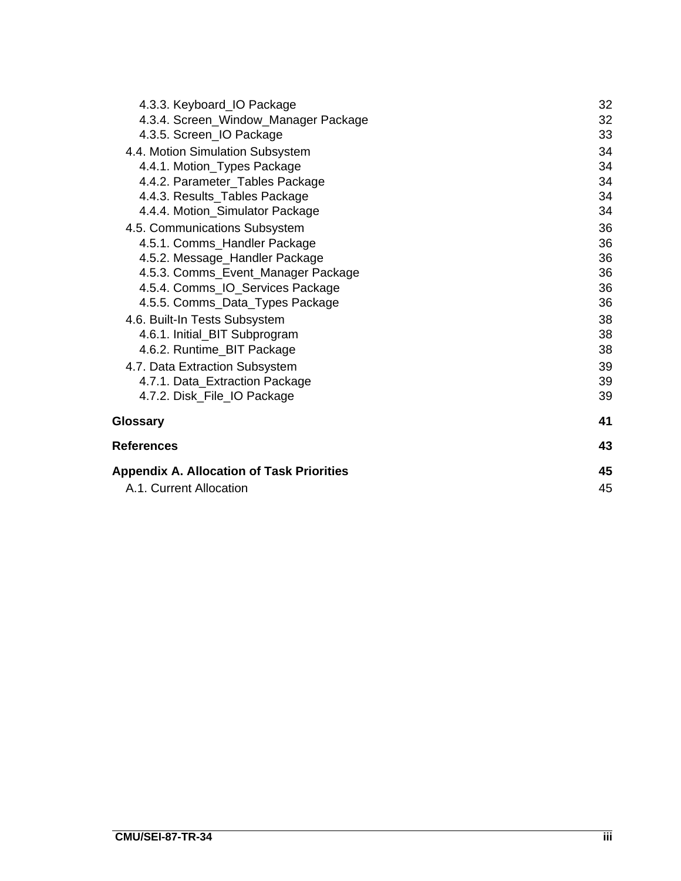| 4.3.3. Keyboard_IO Package                       | 32 |
|--------------------------------------------------|----|
| 4.3.4. Screen_Window_Manager Package             | 32 |
| 4.3.5. Screen_IO Package                         | 33 |
| 4.4. Motion Simulation Subsystem                 | 34 |
| 4.4.1. Motion_Types Package                      | 34 |
| 4.4.2. Parameter_Tables Package                  | 34 |
| 4.4.3. Results_Tables Package                    | 34 |
| 4.4.4. Motion_Simulator Package                  | 34 |
| 4.5. Communications Subsystem                    | 36 |
| 4.5.1. Comms_Handler Package                     | 36 |
| 4.5.2. Message_Handler Package                   | 36 |
| 4.5.3. Comms_Event_Manager Package               | 36 |
| 4.5.4. Comms_IO_Services Package                 | 36 |
| 4.5.5. Comms_Data_Types Package                  | 36 |
| 4.6. Built-In Tests Subsystem                    | 38 |
| 4.6.1. Initial_BIT Subprogram                    | 38 |
| 4.6.2. Runtime_BIT Package                       | 38 |
| 4.7. Data Extraction Subsystem                   | 39 |
| 4.7.1. Data_Extraction Package                   | 39 |
| 4.7.2. Disk_File_IO Package                      | 39 |
| Glossary                                         | 41 |
| References                                       | 43 |
| <b>Appendix A. Allocation of Task Priorities</b> | 45 |
| A.1. Current Allocation                          | 45 |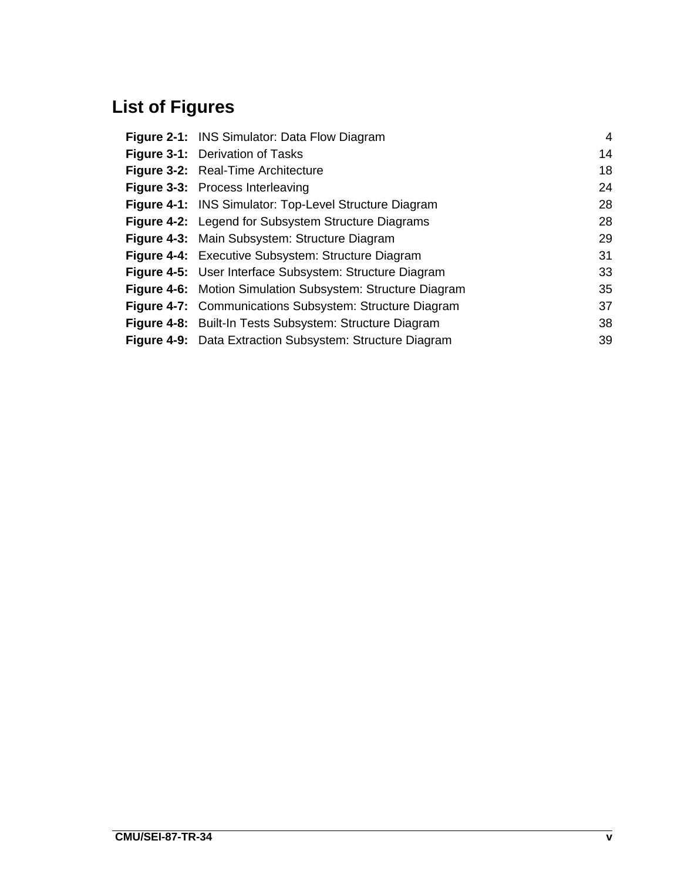# **List of Figures**

| <b>Figure 2-1: INS Simulator: Data Flow Diagram</b>               | $\overline{4}$ |
|-------------------------------------------------------------------|----------------|
| <b>Figure 3-1:</b> Derivation of Tasks                            | 14             |
| <b>Figure 3-2:</b> Real-Time Architecture                         | 18             |
| Figure 3-3: Process Interleaving                                  | 24             |
| Figure 4-1: INS Simulator: Top-Level Structure Diagram            | 28             |
| <b>Figure 4-2:</b> Legend for Subsystem Structure Diagrams        | 28             |
| Figure 4-3: Main Subsystem: Structure Diagram                     | 29             |
| Figure 4-4: Executive Subsystem: Structure Diagram                | 31             |
| Figure 4-5: User Interface Subsystem: Structure Diagram           | 33             |
| <b>Figure 4-6:</b> Motion Simulation Subsystem: Structure Diagram | 35             |
| <b>Figure 4-7:</b> Communications Subsystem: Structure Diagram    | 37             |
| Figure 4-8: Built-In Tests Subsystem: Structure Diagram           | 38             |
| Figure 4-9: Data Extraction Subsystem: Structure Diagram          | 39             |